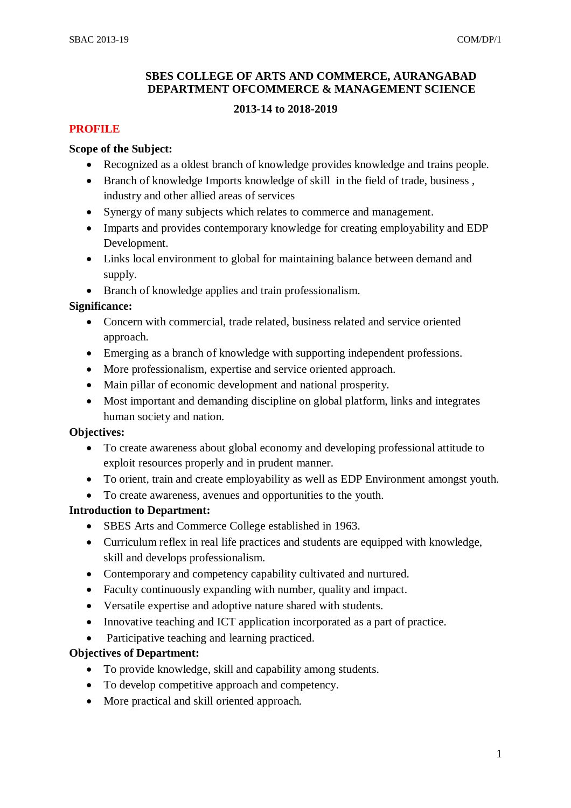#### **SBES COLLEGE OF ARTS AND COMMERCE, AURANGABAD DEPARTMENT OFCOMMERCE & MANAGEMENT SCIENCE**

#### **2013-14 to 2018-2019**

#### **PROFILE**

#### **Scope of the Subject:**

- Recognized as a oldest branch of knowledge provides knowledge and trains people.
- Branch of knowledge Imports knowledge of skill in the field of trade, business, industry and other allied areas of services
- Synergy of many subjects which relates to commerce and management.
- Imparts and provides contemporary knowledge for creating employability and EDP Development.
- Links local environment to global for maintaining balance between demand and supply.
- Branch of knowledge applies and train professionalism.

#### **Significance:**

- Concern with commercial, trade related, business related and service oriented approach.
- Emerging as a branch of knowledge with supporting independent professions.
- More professionalism, expertise and service oriented approach.
- Main pillar of economic development and national prosperity.
- Most important and demanding discipline on global platform, links and integrates human society and nation.

#### **Objectives:**

- To create awareness about global economy and developing professional attitude to exploit resources properly and in prudent manner.
- To orient, train and create employability as well as EDP Environment amongst youth.
- To create awareness, avenues and opportunities to the youth.

#### **Introduction to Department:**

- SBES Arts and Commerce College established in 1963.
- Curriculum reflex in real life practices and students are equipped with knowledge, skill and develops professionalism.
- Contemporary and competency capability cultivated and nurtured.
- Faculty continuously expanding with number, quality and impact.
- Versatile expertise and adoptive nature shared with students.
- Innovative teaching and ICT application incorporated as a part of practice.
- Participative teaching and learning practiced.

#### **Objectives of Department:**

- To provide knowledge, skill and capability among students.
- To develop competitive approach and competency.
- More practical and skill oriented approach.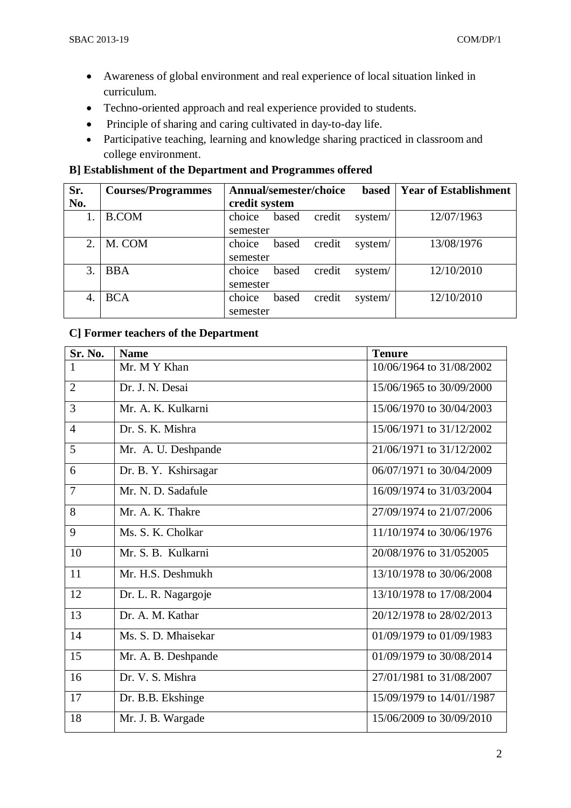- Awareness of global environment and real experience of local situation linked in curriculum.
- Techno-oriented approach and real experience provided to students.
- Principle of sharing and caring cultivated in day-to-day life.
- Participative teaching, learning and knowledge sharing practiced in classroom and college environment.

## **B] Establishment of the Department and Programmes offered**

| Sr. | <b>Courses/Programmes</b> | Annual/semester/choice |       |        | <b>based</b> | <b>Year of Establishment</b> |
|-----|---------------------------|------------------------|-------|--------|--------------|------------------------------|
| No. |                           | credit system          |       |        |              |                              |
|     | <b>B.COM</b>              | choice                 | based | credit | system/      | 12/07/1963                   |
|     |                           | semester               |       |        |              |                              |
| 2.  | M. COM                    | choice                 | based | credit | system/      | 13/08/1976                   |
|     |                           | semester               |       |        |              |                              |
| 3.  | <b>BBA</b>                | choice                 | based | credit | system/      | 12/10/2010                   |
|     |                           | semester               |       |        |              |                              |
| 4.  | <b>BCA</b>                | choice                 | based | credit | system/      | 12/10/2010                   |
|     |                           | semester               |       |        |              |                              |

# **C] Former teachers of the Department**

| Sr. No.        | <b>Name</b>          | <b>Tenure</b>             |
|----------------|----------------------|---------------------------|
| $\mathbf{1}$   | Mr. M Y Khan         | 10/06/1964 to 31/08/2002  |
| $\overline{2}$ | Dr. J. N. Desai      | 15/06/1965 to 30/09/2000  |
| 3              | Mr. A. K. Kulkarni   | 15/06/1970 to 30/04/2003  |
| $\overline{4}$ | Dr. S. K. Mishra     | 15/06/1971 to 31/12/2002  |
| 5              | Mr. A. U. Deshpande  | 21/06/1971 to 31/12/2002  |
| 6              | Dr. B. Y. Kshirsagar | 06/07/1971 to 30/04/2009  |
| $\overline{7}$ | Mr. N. D. Sadafule   | 16/09/1974 to 31/03/2004  |
| 8              | Mr. A. K. Thakre     | 27/09/1974 to 21/07/2006  |
| 9              | Ms. S. K. Cholkar    | 11/10/1974 to 30/06/1976  |
| 10             | Mr. S. B. Kulkarni   | 20/08/1976 to 31/052005   |
| 11             | Mr. H.S. Deshmukh    | 13/10/1978 to 30/06/2008  |
| 12             | Dr. L. R. Nagargoje  | 13/10/1978 to 17/08/2004  |
| 13             | Dr. A. M. Kathar     | 20/12/1978 to 28/02/2013  |
| 14             | Ms. S. D. Mhaisekar  | 01/09/1979 to 01/09/1983  |
| 15             | Mr. A. B. Deshpande  | 01/09/1979 to 30/08/2014  |
| 16             | Dr. V. S. Mishra     | 27/01/1981 to 31/08/2007  |
| 17             | Dr. B.B. Ekshinge    | 15/09/1979 to 14/01//1987 |
| 18             | Mr. J. B. Wargade    | 15/06/2009 to 30/09/2010  |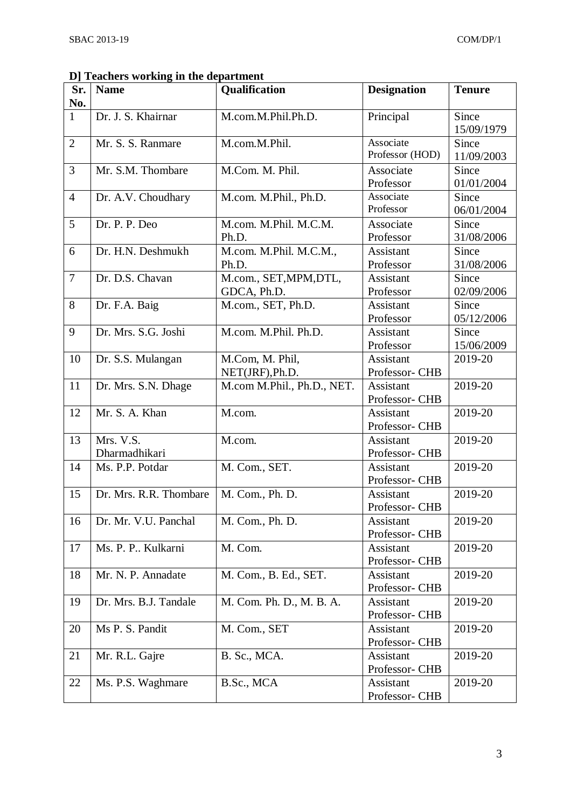| Sr.            | <b>Name</b>            | Qualification                  | <b>Designation</b>          | <b>Tenure</b>       |
|----------------|------------------------|--------------------------------|-----------------------------|---------------------|
| No.            |                        |                                |                             |                     |
| $\mathbf{1}$   | Dr. J. S. Khairnar     | M.com.M.Phil.Ph.D.             | Principal                   | Since               |
|                |                        |                                |                             | 15/09/1979          |
| $\overline{2}$ | Mr. S. S. Ranmare      | M.com.M.Phil.                  | Associate                   | Since               |
|                |                        |                                | Professor (HOD)             | 11/09/2003          |
| 3              | Mr. S.M. Thombare      | M.Com. M. Phil.                | Associate                   | Since               |
|                |                        |                                | Professor                   | 01/01/2004          |
| $\overline{4}$ | Dr. A.V. Choudhary     | M.com. M.Phil., Ph.D.          | Associate<br>Professor      | Since               |
| 5              |                        |                                |                             | 06/01/2004          |
|                | Dr. P. P. Deo          | M.com. M.Phil. M.C.M.<br>Ph.D. | Associate<br>Professor      | Since<br>31/08/2006 |
| 6              | Dr. H.N. Deshmukh      | M.com. M.Phil. M.C.M.,         | Assistant                   | Since               |
|                |                        | Ph.D.                          | Professor                   | 31/08/2006          |
| $\overline{7}$ | Dr. D.S. Chavan        | M.com., SET, MPM, DTL,         | Assistant                   | Since               |
|                |                        | GDCA, Ph.D.                    | Professor                   | 02/09/2006          |
| 8              | Dr. F.A. Baig          | M.com., SET, Ph.D.             | Assistant                   | Since               |
|                |                        |                                | Professor                   | 05/12/2006          |
| 9              | Dr. Mrs. S.G. Joshi    | M.com. M.Phil. Ph.D.           | <b>Assistant</b>            | Since               |
|                |                        |                                | Professor                   | 15/06/2009          |
| 10             | Dr. S.S. Mulangan      | M.Com, M. Phil,                | Assistant                   | 2019-20             |
|                |                        | NET(JRF), Ph.D.                | Professor- CHB              |                     |
| 11             | Dr. Mrs. S.N. Dhage    | M.com M.Phil., Ph.D., NET.     | Assistant                   | 2019-20             |
|                |                        |                                | Professor- CHB              |                     |
| 12             | Mr. S. A. Khan         | M.com.                         | Assistant                   | 2019-20             |
|                |                        |                                | Professor- CHB              |                     |
| 13             | Mrs. V.S.              | M.com.                         | <b>Assistant</b>            | 2019-20             |
|                | Dharmadhikari          |                                | Professor- CHB              |                     |
| 14             | Ms. P.P. Potdar        | M. Com., SET.                  | Assistant                   | 2019-20             |
| 15             | Dr. Mrs. R.R. Thombare |                                | Professor- CHB              |                     |
|                |                        | M. Com., Ph. D.                | Assistant<br>Professor- CHB | 2019-20             |
| 16             | Dr. Mr. V.U. Panchal   | M. Com., Ph. D.                | Assistant                   | 2019-20             |
|                |                        |                                | Professor- CHB              |                     |
| 17             | Ms. P. P Kulkarni      | M. Com.                        | Assistant                   | 2019-20             |
|                |                        |                                | Professor- CHB              |                     |
| 18             | Mr. N. P. Annadate     | M. Com., B. Ed., SET.          | Assistant                   | 2019-20             |
|                |                        |                                | Professor- CHB              |                     |
| 19             | Dr. Mrs. B.J. Tandale  | M. Com. Ph. D., M. B. A.       | Assistant                   | 2019-20             |
|                |                        |                                | Professor- CHB              |                     |
| 20             | Ms P. S. Pandit        | M. Com., SET                   | Assistant                   | 2019-20             |
|                |                        |                                | Professor- CHB              |                     |
| 21             | Mr. R.L. Gajre         | B. Sc., MCA.                   | Assistant                   | 2019-20             |
|                |                        |                                | Professor- CHB              |                     |
| 22             | Ms. P.S. Waghmare      | B.Sc., MCA                     | Assistant                   | 2019-20             |
|                |                        |                                | Professor- CHB              |                     |

### **D] Teachers working in the department**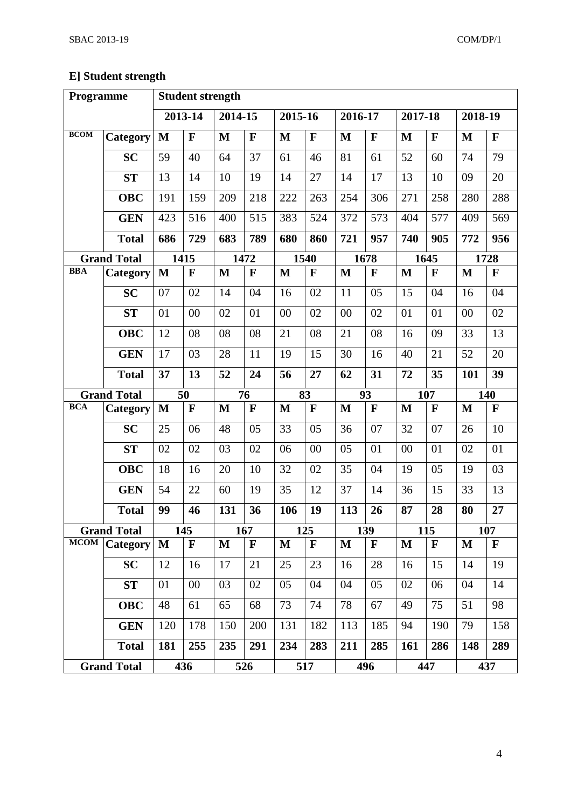# **E] Student strength**

| Programme   |                    |              | <b>Student strength</b> |              |             |              |             |         |              |              |             |         |              |
|-------------|--------------------|--------------|-------------------------|--------------|-------------|--------------|-------------|---------|--------------|--------------|-------------|---------|--------------|
|             |                    |              | 2013-14                 | 2014-15      |             | 2015-16      |             | 2016-17 |              | 2017-18      |             | 2018-19 |              |
| <b>BCOM</b> | Category           | M            | F                       | $\mathbf{M}$ | F           | $\mathbf{M}$ | F           | M       | $\mathbf F$  | $\mathbf{M}$ | $\mathbf F$ | M       | $\mathbf F$  |
|             | <b>SC</b>          | 59           | 40                      | 64           | 37          | 61           | 46          | 81      | 61           | 52           | 60          | 74      | 79           |
|             | <b>ST</b>          | 13           | 14                      | 10           | 19          | 14           | 27          | 14      | 17           | 13           | 10          | 09      | 20           |
|             | <b>OBC</b>         | 191          | 159                     | 209          | 218         | 222          | 263         | 254     | 306          | 271          | 258         | 280     | 288          |
|             | <b>GEN</b>         | 423          | 516                     | 400          | 515         | 383          | 524         | 372     | 573          | 404          | 577         | 409     | 569          |
|             | <b>Total</b>       | 686          | 729                     | 683          | 789         | 680          | 860         | 721     | 957          | 740          | 905         | 772     | 956          |
|             | <b>Grand Total</b> |              | 1415                    |              | 1472        |              | 1540        |         | 1678         |              | 1645        |         | 1728         |
| <b>BBA</b>  | Category           | $\mathbf{M}$ | F                       | $\mathbf{M}$ | $\mathbf F$ | $\mathbf{M}$ | $\mathbf F$ | M       | F            | M            | $\mathbf F$ | M       | $\mathbf F$  |
|             | <b>SC</b>          | 07           | 02                      | 14           | 04          | 16           | 02          | 11      | 05           | 15           | 04          | 16      | 04           |
|             | <b>ST</b>          | 01           | 00                      | 02           | 01          | 00           | 02          | 00      | 02           | 01           | 01          | 00      | 02           |
|             | <b>OBC</b>         | 12           | 08                      | 08           | 08          | 21           | 08          | 21      | 08           | 16           | 09          | 33      | 13           |
|             | <b>GEN</b>         | 17           | 03                      | 28           | 11          | 19           | 15          | 30      | 16           | 40           | 21          | 52      | 20           |
|             | <b>Total</b>       | 37           | 13                      | 52           | 24          | 56           | 27          | 62      | 31           | 72           | 35          | 101     | 39           |
|             | <b>Grand Total</b> |              | 50                      |              | 76          |              | 83          |         | 93           |              | 107         |         | 140          |
| <b>BCA</b>  | Category           | $\mathbf{M}$ | F                       | M            | F           | M            | $\mathbf F$ | M       | $\mathbf F$  | M            | F           | M       | $\mathbf F$  |
|             | <b>SC</b>          | 25           | 06                      | 48           | 05          | 33           | 05          | 36      | 07           | 32           | 07          | 26      | 10           |
|             | <b>ST</b>          | 02           | 02                      | 03           | 02          | 06           | 00          | 05      | 01           | 00           | 01          | 02      | 01           |
|             | <b>OBC</b>         | 18           | 16                      | 20           | 10          | 32           | 02          | 35      | 04           | 19           | 05          | 19      | 03           |
|             | <b>GEN</b>         | 54           | 22                      | 60           | 19          | 35           | 12          | 37      | 14           | 36           | 15          | 33      | 13           |
|             | <b>Total</b>       | 99           | 46                      | 131          | 36          | 106          | 19          | 113     | 26           | 87           | 28          | 80      | 27           |
|             | <b>Grand Total</b> |              | 145                     |              | 167         |              | 125         |         | 139          |              | 115         |         | 107          |
| <b>MCOM</b> | <b>Category</b>    | $\mathbf M$  | $\mathbf F$             | M            | $\mathbf F$ | M            | $\mathbf F$ | M       | $\mathbf{F}$ | M            | $\mathbf F$ | M       | $\mathbf{F}$ |
|             | <b>SC</b>          | 12           | 16                      | 17           | 21          | 25           | 23          | 16      | 28           | 16           | 15          | 14      | 19           |
|             | ST                 | 01           | $00\,$                  | 03           | 02          | 05           | 04          | 04      | 05           | 02           | 06          | 04      | 14           |
|             | <b>OBC</b>         | 48           | 61                      | 65           | 68          | 73           | 74          | 78      | 67           | 49           | 75          | 51      | 98           |
|             | <b>GEN</b>         | 120          | 178                     | 150          | 200         | 131          | 182         | 113     | 185          | 94           | 190         | 79      | 158          |
|             | <b>Total</b>       | 181          | 255                     | 235          | 291         | 234          | 283         | 211     | 285          | <b>161</b>   | 286         | 148     | 289          |
|             | <b>Grand Total</b> |              | 436                     |              | 526         |              | 517         |         | 496          |              | 447         |         | 437          |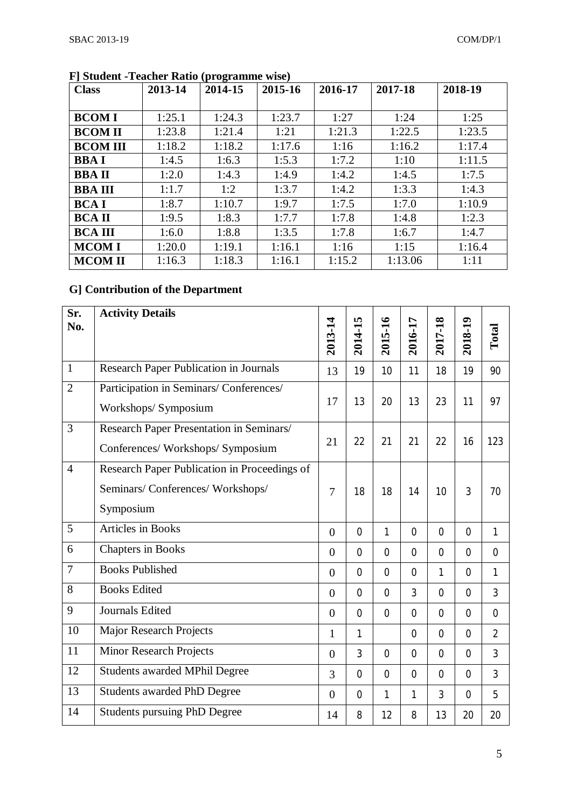|                 |         | $\mathbf{v}$ is the state of $\mathbf{v}$ |         |         |         |         |
|-----------------|---------|-------------------------------------------|---------|---------|---------|---------|
| <b>Class</b>    | 2013-14 | 2014-15                                   | 2015-16 | 2016-17 | 2017-18 | 2018-19 |
|                 |         |                                           |         |         |         |         |
| <b>BCOMI</b>    | 1:25.1  | 1:24.3                                    | 1:23.7  | 1:27    | 1:24    | 1:25    |
| <b>BCOM II</b>  | 1:23.8  | 1:21.4                                    | 1:21    | 1:21.3  | 1:22.5  | 1:23.5  |
| <b>BCOM III</b> | 1:18.2  | 1:18.2                                    | 1:17.6  | 1:16    | 1:16.2  | 1:17.4  |
| <b>BBAI</b>     | 1:4.5   | 1:6.3                                     | 1:5.3   | 1:7.2   | 1:10    | 1:11.5  |
| <b>BBAII</b>    | 1:2.0   | 1:4.3                                     | 1:4.9   | 1:4.2   | 1:4.5   | 1:7.5   |
| <b>BBA III</b>  | 1:1.7   | 1:2                                       | 1:3.7   | 1:4.2   | 1:3.3   | 1:4.3   |
| <b>BCAI</b>     | 1:8.7   | 1:10.7                                    | 1:9.7   | 1:7.5   | 1:7.0   | 1:10.9  |
| <b>BCA II</b>   | 1:9.5   | 1:8.3                                     | 1:7.7   | 1:7.8   | 1:4.8   | 1:2.3   |
| <b>BCA III</b>  | 1:6.0   | 1:8.8                                     | 1:3.5   | 1:7.8   | 1:6.7   | 1:4.7   |
| <b>MCOMI</b>    | 1:20.0  | 1:19.1                                    | 1:16.1  | 1:16    | 1:15    | 1:16.4  |
| <b>MCOM II</b>  | 1:16.3  | 1:18.3                                    | 1:16.1  | 1:15.2  | 1:13.06 | 1:11    |

**F] Student -Teacher Ratio (programme wise)**

# **G] Contribution of the Department**

| Sr.<br>No.     | <b>Activity Details</b>                       | 2013-14        | 2014-15        | 2015-16        | 2016-17        | 2017-18        | 2018-19        | Total          |
|----------------|-----------------------------------------------|----------------|----------------|----------------|----------------|----------------|----------------|----------------|
|                |                                               |                |                |                |                |                |                |                |
| $\mathbf{1}$   | <b>Research Paper Publication in Journals</b> | 13             | 19             | 10             | 11             | 18             | 19             | 90             |
| $\overline{2}$ | Participation in Seminars/Conferences/        |                |                |                |                |                |                |                |
|                | Workshops/ Symposium                          | 17             | 13             | 20             | 13             | 23             | 11             | 97             |
| $\overline{3}$ | Research Paper Presentation in Seminars/      |                |                |                |                |                |                |                |
|                | Conferences/ Workshops/ Symposium             | 21             | 22             | 21             | 21             | 22             | 16             | 123            |
| $\overline{4}$ | Research Paper Publication in Proceedings of  |                |                |                |                |                |                |                |
|                | Seminars/Conferences/Workshops/               | 7              | 18             | 18             | 14             | 10             | 3              | 70             |
|                | Symposium                                     |                |                |                |                |                |                |                |
| 5              | <b>Articles</b> in Books                      | $\overline{0}$ | $\overline{0}$ | 1              | $\overline{0}$ | $\overline{0}$ | $\overline{0}$ | $\mathbf{1}$   |
| 6              | <b>Chapters in Books</b>                      | $\overline{0}$ | $\overline{0}$ | $\mathbf 0$    | $\overline{0}$ | $\overline{0}$ | $\overline{0}$ | $\overline{0}$ |
| $\overline{7}$ | <b>Books Published</b>                        | $\overline{0}$ | $\overline{0}$ | $\overline{0}$ | $\overline{0}$ | $\mathbf{1}$   | $\overline{0}$ | $\mathbf{1}$   |
| 8              | <b>Books Edited</b>                           | $\overline{0}$ | $\mathbf 0$    | $\mathbf 0$    | 3              | $\overline{0}$ | $\overline{0}$ | 3              |
| 9              | Journals Edited                               | $\theta$       | $\overline{0}$ | $\overline{0}$ | $\overline{0}$ | $\overline{0}$ | $\overline{0}$ | $\overline{0}$ |
| 10             | <b>Major Research Projects</b>                | 1              | 1              |                | $\overline{0}$ | $\overline{0}$ | $\overline{0}$ | $\overline{2}$ |
| 11             | <b>Minor Research Projects</b>                | $\overline{0}$ | $\overline{3}$ | $\mathbf 0$    | $\overline{0}$ | $\overline{0}$ | $\overline{0}$ | 3              |
| 12             | <b>Students awarded MPhil Degree</b>          | $\overline{3}$ | $\mathbf 0$    | $\mathbf 0$    | $\overline{0}$ | $\overline{0}$ | $\mathbf 0$    | 3              |
| 13             | <b>Students awarded PhD Degree</b>            | $\Omega$       | $\overline{0}$ | $\mathbf{1}$   | 1              | 3              | $\overline{0}$ | 5              |
| 14             | <b>Students pursuing PhD Degree</b>           | 14             | 8              | 12             | 8              | 13             | 20             | 20             |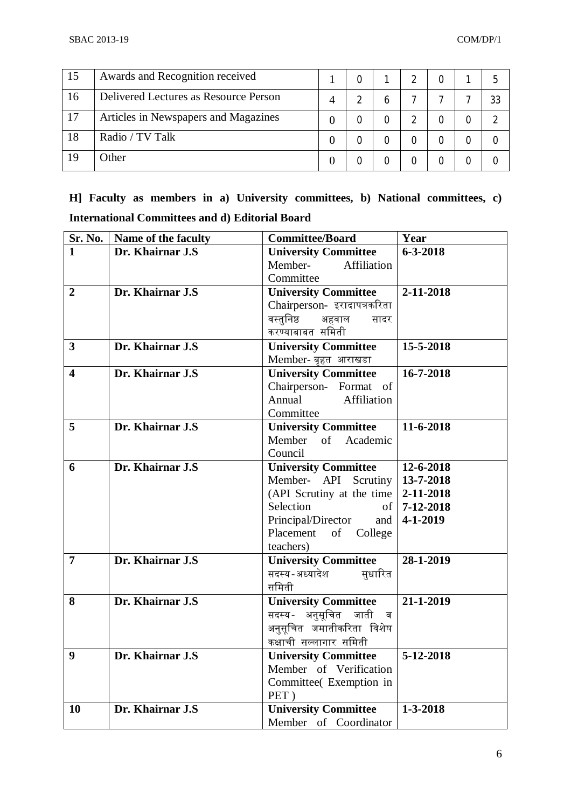| 15 | Awards and Recognition received       |  |              |  |  |
|----|---------------------------------------|--|--------------|--|--|
| 16 | Delivered Lectures as Resource Person |  | <sub>6</sub> |  |  |
| 17 | Articles in Newspapers and Magazines  |  |              |  |  |
| 18 | Radio / TV Talk                       |  |              |  |  |
| 19 | Other                                 |  |              |  |  |

**H] Faculty as members in a) University committees, b) National committees, c) International Committees and d) Editorial Board**

| Sr. No.          | Name of the faculty | <b>Committee/Board</b>      | Year           |
|------------------|---------------------|-----------------------------|----------------|
| 1                | Dr. Khairnar J.S    | <b>University Committee</b> | $6 - 3 - 2018$ |
|                  |                     | Member-<br>Affiliation      |                |
|                  |                     | Committee                   |                |
| $\overline{2}$   | Dr. Khairnar J.S    | <b>University Committee</b> | 2-11-2018      |
|                  |                     | Chairperson-इरादापत्रकरिता  |                |
|                  |                     | वस्तुनिष्ठ<br>अहवाल<br>सादर |                |
|                  |                     | करण्याबाबत समिती            |                |
| $\mathbf{3}$     | Dr. Khairnar J.S    | <b>University Committee</b> | 15-5-2018      |
|                  |                     | Member- बृहत आराखडा         |                |
| 4                | Dr. Khairnar J.S    | <b>University Committee</b> | 16-7-2018      |
|                  |                     | Chairperson- Format of      |                |
|                  |                     | Affiliation<br>Annual       |                |
|                  |                     | Committee                   |                |
| $5\overline{)}$  | Dr. Khairnar J.S    | <b>University Committee</b> | 11-6-2018      |
|                  |                     | Member of Academic          |                |
|                  |                     | Council                     |                |
| 6                | Dr. Khairnar J.S    | <b>University Committee</b> | 12-6-2018      |
|                  |                     | Member- API Scrutiny        | 13-7-2018      |
|                  |                     | (API Scrutiny at the time   | 2-11-2018      |
|                  |                     | Selection<br>of             | 7-12-2018      |
|                  |                     | Principal/Director<br>and   | 4-1-2019       |
|                  |                     | of College<br>Placement     |                |
|                  |                     | teachers)                   |                |
| $\overline{7}$   | Dr. Khairnar J.S    | <b>University Committee</b> | 28-1-2019      |
|                  |                     | सदस्य-अध्यादेश<br>सुधारित   |                |
|                  |                     | समिती                       |                |
| 8                | Dr. Khairnar J.S    | <b>University Committee</b> | 21-1-2019      |
|                  |                     | सदस्य- अनुसूचित जाती व      |                |
|                  |                     | अनुसूचित जमातीकरिता विशेष   |                |
|                  |                     | कक्षाची सल्लागार समिती      |                |
| $\boldsymbol{9}$ | Dr. Khairnar J.S    | <b>University Committee</b> | 5-12-2018      |
|                  |                     | Member of Verification      |                |
|                  |                     | Committee( Exemption in     |                |
|                  |                     | PET)                        |                |
| 10               | Dr. Khairnar J.S    | <b>University Committee</b> | $1 - 3 - 2018$ |
|                  |                     | Member of Coordinator       |                |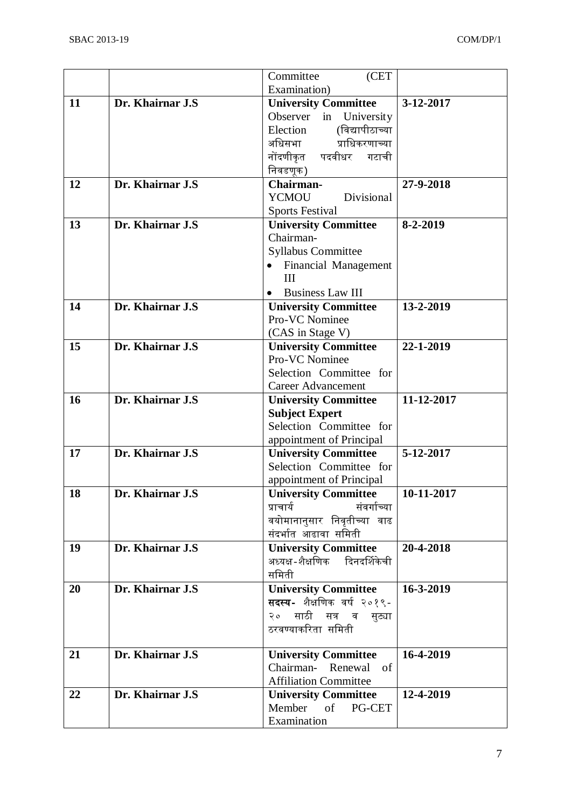|    |                   | Committee<br>(CET                                       |            |
|----|-------------------|---------------------------------------------------------|------------|
|    |                   | Examination)                                            |            |
| 11 | Dr. Khairnar J.S  | <b>University Committee</b>                             | 3-12-2017  |
|    |                   | University<br>Observer<br>in                            |            |
|    |                   | (विद्यापीठाच्या<br>Election                             |            |
|    |                   | प्राधिकरणाच्या<br>अधिसभा                                |            |
|    |                   | नोंदणीकृत<br>पदवीधर<br>गटाची                            |            |
|    |                   | निवडणूक)                                                |            |
| 12 | Dr. Khairnar J.S  | Chairman-                                               | 27-9-2018  |
|    |                   | <b>YCMOU</b><br>Divisional                              |            |
|    |                   | <b>Sports Festival</b>                                  |            |
| 13 | Dr. Khairnar J.S  | <b>University Committee</b>                             | 8-2-2019   |
|    |                   | Chairman-                                               |            |
|    |                   | <b>Syllabus Committee</b>                               |            |
|    |                   | <b>Financial Management</b>                             |            |
|    |                   | III                                                     |            |
|    |                   | <b>Business Law III</b>                                 |            |
| 14 | Dr. Khairnar J.S  | <b>University Committee</b>                             | 13-2-2019  |
|    |                   | Pro-VC Nominee                                          |            |
|    |                   | (CAS in Stage V)                                        |            |
| 15 | Dr. Khairnar J.S  | <b>University Committee</b>                             | 22-1-2019  |
|    |                   | Pro-VC Nominee                                          |            |
|    |                   | Selection Committee for                                 |            |
|    |                   | <b>Career Advancement</b>                               |            |
| 16 | Dr. Khairnar J.S  | <b>University Committee</b>                             | 11-12-2017 |
|    |                   | <b>Subject Expert</b>                                   |            |
|    |                   | Selection Committee for                                 |            |
| 17 | Dr. Khairnar J.S  | appointment of Principal<br><b>University Committee</b> | 5-12-2017  |
|    |                   | Selection Committee for                                 |            |
|    |                   | appointment of Principal                                |            |
| 18 | Dr. Khairnar J.S  | <b>University Committee</b>                             | 10-11-2017 |
|    |                   | संवर्गाच्या<br>प्राचार्य                                |            |
|    |                   | वयोमानानुसार निवृतीच्या वाढ                             |            |
|    |                   | संदर्भात आढावा समिती                                    |            |
| 19 | Dr. Khairnar J.S. | <b>University Committee</b>                             | 20-4-2018  |
|    |                   | अध्यक्ष-शैक्षणिक दिनदर्शिकेची                           |            |
|    |                   | समिती                                                   |            |
| 20 | Dr. Khairnar J.S  | <b>University Committee</b>                             | 16-3-2019  |
|    |                   | सदस्य- शैक्षणिक वर्ष २०१९-                              |            |
|    |                   | २० साठी सत्र व सुट्या                                   |            |
|    |                   | ठरवण्याकरिता समिती                                      |            |
|    |                   |                                                         |            |
| 21 | Dr. Khairnar J.S  | <b>University Committee</b>                             | 16-4-2019  |
|    |                   | Chairman- Renewal of                                    |            |
|    |                   | <b>Affiliation Committee</b>                            |            |
| 22 | Dr. Khairnar J.S  | <b>University Committee</b>                             | 12-4-2019  |
|    |                   | Member<br>of<br>PG-CET                                  |            |
|    |                   | Examination                                             |            |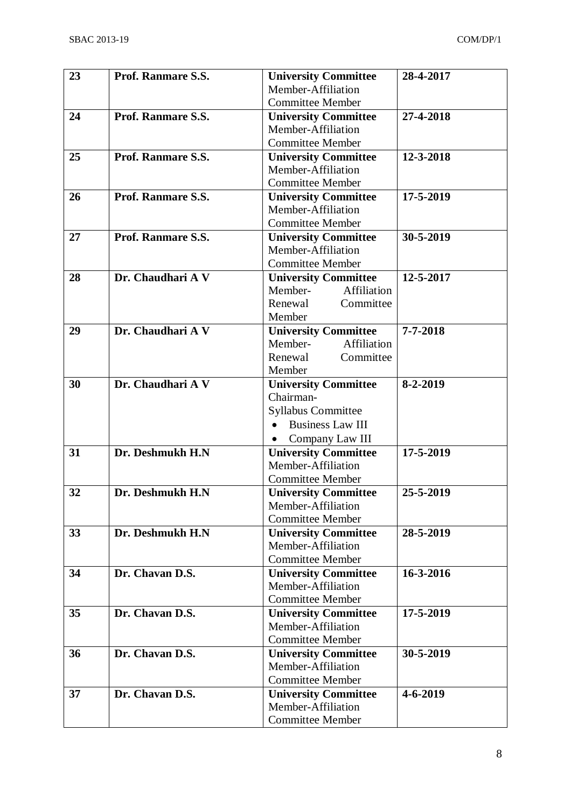| 23 | Prof. Ranmare S.S.        | <b>University Committee</b>                           | 28-4-2017      |
|----|---------------------------|-------------------------------------------------------|----------------|
|    |                           | Member-Affiliation                                    |                |
|    |                           | <b>Committee Member</b>                               |                |
| 24 | <b>Prof. Ranmare S.S.</b> | <b>University Committee</b>                           | 27-4-2018      |
|    |                           | Member-Affiliation                                    |                |
|    |                           | <b>Committee Member</b>                               |                |
| 25 | Prof. Ranmare S.S.        | <b>University Committee</b>                           | 12-3-2018      |
|    |                           | Member-Affiliation                                    |                |
|    |                           | <b>Committee Member</b>                               |                |
| 26 | Prof. Ranmare S.S.        | <b>University Committee</b>                           | 17-5-2019      |
|    |                           | Member-Affiliation                                    |                |
|    |                           | <b>Committee Member</b>                               |                |
| 27 | Prof. Ranmare S.S.        | <b>University Committee</b>                           | 30-5-2019      |
|    |                           | Member-Affiliation                                    |                |
|    |                           | <b>Committee Member</b>                               |                |
| 28 | Dr. Chaudhari A V         | <b>University Committee</b>                           | 12-5-2017      |
|    |                           | Member-<br>Affiliation                                |                |
|    |                           | Renewal<br>Committee                                  |                |
|    | Dr. Chaudhari A V         | Member                                                | $7 - 7 - 2018$ |
| 29 |                           | <b>University Committee</b><br>Affiliation<br>Member- |                |
|    |                           | Renewal<br>Committee                                  |                |
|    |                           | Member                                                |                |
| 30 | Dr. Chaudhari A V         | <b>University Committee</b>                           | 8-2-2019       |
|    |                           | Chairman-                                             |                |
|    |                           | <b>Syllabus Committee</b>                             |                |
|    |                           | <b>Business Law III</b>                               |                |
|    |                           | Company Law III<br>$\bullet$                          |                |
| 31 | Dr. Deshmukh H.N          | <b>University Committee</b>                           | 17-5-2019      |
|    |                           | Member-Affiliation                                    |                |
|    |                           | <b>Committee Member</b>                               |                |
| 32 | Dr. Deshmukh H.N          | <b>University Committee</b>                           | 25-5-2019      |
|    |                           | Member-Affiliation                                    |                |
|    |                           | <b>Committee Member</b>                               |                |
| 33 | Dr. Deshmukh H.N          | <b>University Committee</b>                           | 28-5-2019      |
|    |                           | Member-Affiliation                                    |                |
|    |                           | <b>Committee Member</b>                               |                |
| 34 | Dr. Chavan D.S.           | <b>University Committee</b>                           | 16-3-2016      |
|    |                           | Member-Affiliation                                    |                |
|    |                           | <b>Committee Member</b>                               |                |
| 35 | Dr. Chavan D.S.           | <b>University Committee</b>                           | 17-5-2019      |
|    |                           | Member-Affiliation                                    |                |
|    |                           | <b>Committee Member</b>                               |                |
| 36 | Dr. Chavan D.S.           | <b>University Committee</b><br>Member-Affiliation     | 30-5-2019      |
|    |                           | <b>Committee Member</b>                               |                |
| 37 | Dr. Chavan D.S.           | <b>University Committee</b>                           | $4 - 6 - 2019$ |
|    |                           | Member-Affiliation                                    |                |
|    |                           | <b>Committee Member</b>                               |                |
|    |                           |                                                       |                |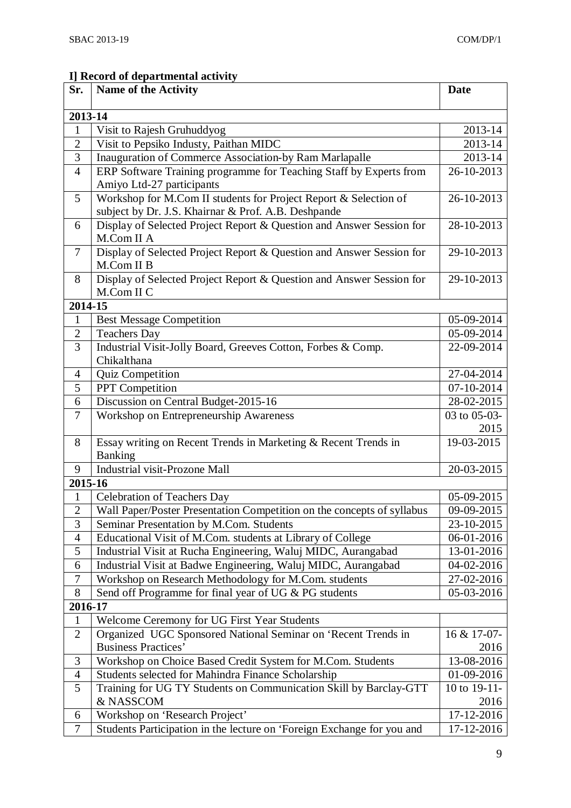# **I] Record of departmental activity**

| 2013-14<br>2013-14<br>$\mathbf{1}$<br>Visit to Rajesh Gruhuddyog<br>Visit to Pepsiko Industy, Paithan MIDC<br>$\overline{2}$<br>2013-14<br>3<br>Inauguration of Commerce Association-by Ram Marlapalle<br>2013-14<br>ERP Software Training programme for Teaching Staff by Experts from<br>$\overline{4}$<br>26-10-2013<br>Amiyo Ltd-27 participants<br>5<br>Workshop for M.Com II students for Project Report & Selection of<br>26-10-2013<br>subject by Dr. J.S. Khairnar & Prof. A.B. Deshpande<br>Display of Selected Project Report & Question and Answer Session for<br>28-10-2013<br>6<br>M.Com II A<br>Display of Selected Project Report & Question and Answer Session for<br>29-10-2013<br>$\tau$<br>M.Com II B<br>Display of Selected Project Report & Question and Answer Session for<br>29-10-2013<br>8<br>M.Com II C<br>2014-15<br>$\mathbf{1}$<br><b>Best Message Competition</b><br>05-09-2014<br>$\overline{2}$<br><b>Teachers Day</b><br>05-09-2014<br>3<br>Industrial Visit-Jolly Board, Greeves Cotton, Forbes & Comp.<br>22-09-2014<br>Chikalthana<br>Quiz Competition<br>27-04-2014<br>$\overline{4}$<br>5<br>PPT Competition<br>07-10-2014<br>Discussion on Central Budget-2015-16<br>28-02-2015<br>6<br>$\overline{7}$<br>Workshop on Entrepreneurship Awareness<br>03 to 05-03-<br>2015<br>Essay writing on Recent Trends in Marketing & Recent Trends in<br>19-03-2015<br>8<br><b>Banking</b><br><b>Industrial visit-Prozone Mall</b><br>9<br>20-03-2015<br>2015-16<br><b>Celebration of Teachers Day</b><br>05-09-2015<br>$\mathbf{1}$<br>$\overline{2}$<br>Wall Paper/Poster Presentation Competition on the concepts of syllabus<br>09-09-2015<br>3<br>Seminar Presentation by M.Com. Students<br>23-10-2015<br>$\overline{4}$<br>Educational Visit of M.Com. students at Library of College<br>06-01-2016<br>$\mathfrak{S}$<br>Industrial Visit at Rucha Engineering, Waluj MIDC, Aurangabad<br>13-01-2016<br>Industrial Visit at Badwe Engineering, Waluj MIDC, Aurangabad<br>6<br>04-02-2016<br>$\tau$<br>Workshop on Research Methodology for M.Com. students<br>27-02-2016<br>Send off Programme for final year of UG & PG students<br>05-03-2016<br>8<br>2016-17<br>Welcome Ceremony for UG First Year Students<br>$\mathbf{1}$ | Sr.            | <b>Name of the Activity</b>                                   | <b>Date</b> |
|--------------------------------------------------------------------------------------------------------------------------------------------------------------------------------------------------------------------------------------------------------------------------------------------------------------------------------------------------------------------------------------------------------------------------------------------------------------------------------------------------------------------------------------------------------------------------------------------------------------------------------------------------------------------------------------------------------------------------------------------------------------------------------------------------------------------------------------------------------------------------------------------------------------------------------------------------------------------------------------------------------------------------------------------------------------------------------------------------------------------------------------------------------------------------------------------------------------------------------------------------------------------------------------------------------------------------------------------------------------------------------------------------------------------------------------------------------------------------------------------------------------------------------------------------------------------------------------------------------------------------------------------------------------------------------------------------------------------------------------------------------------------------------------------------------------------------------------------------------------------------------------------------------------------------------------------------------------------------------------------------------------------------------------------------------------------------------------------------------------------------------------------------------------------------------------------------------------------------------------------------------------------|----------------|---------------------------------------------------------------|-------------|
|                                                                                                                                                                                                                                                                                                                                                                                                                                                                                                                                                                                                                                                                                                                                                                                                                                                                                                                                                                                                                                                                                                                                                                                                                                                                                                                                                                                                                                                                                                                                                                                                                                                                                                                                                                                                                                                                                                                                                                                                                                                                                                                                                                                                                                                                    |                |                                                               |             |
|                                                                                                                                                                                                                                                                                                                                                                                                                                                                                                                                                                                                                                                                                                                                                                                                                                                                                                                                                                                                                                                                                                                                                                                                                                                                                                                                                                                                                                                                                                                                                                                                                                                                                                                                                                                                                                                                                                                                                                                                                                                                                                                                                                                                                                                                    |                |                                                               |             |
|                                                                                                                                                                                                                                                                                                                                                                                                                                                                                                                                                                                                                                                                                                                                                                                                                                                                                                                                                                                                                                                                                                                                                                                                                                                                                                                                                                                                                                                                                                                                                                                                                                                                                                                                                                                                                                                                                                                                                                                                                                                                                                                                                                                                                                                                    |                |                                                               |             |
|                                                                                                                                                                                                                                                                                                                                                                                                                                                                                                                                                                                                                                                                                                                                                                                                                                                                                                                                                                                                                                                                                                                                                                                                                                                                                                                                                                                                                                                                                                                                                                                                                                                                                                                                                                                                                                                                                                                                                                                                                                                                                                                                                                                                                                                                    |                |                                                               |             |
|                                                                                                                                                                                                                                                                                                                                                                                                                                                                                                                                                                                                                                                                                                                                                                                                                                                                                                                                                                                                                                                                                                                                                                                                                                                                                                                                                                                                                                                                                                                                                                                                                                                                                                                                                                                                                                                                                                                                                                                                                                                                                                                                                                                                                                                                    |                |                                                               |             |
|                                                                                                                                                                                                                                                                                                                                                                                                                                                                                                                                                                                                                                                                                                                                                                                                                                                                                                                                                                                                                                                                                                                                                                                                                                                                                                                                                                                                                                                                                                                                                                                                                                                                                                                                                                                                                                                                                                                                                                                                                                                                                                                                                                                                                                                                    |                |                                                               |             |
|                                                                                                                                                                                                                                                                                                                                                                                                                                                                                                                                                                                                                                                                                                                                                                                                                                                                                                                                                                                                                                                                                                                                                                                                                                                                                                                                                                                                                                                                                                                                                                                                                                                                                                                                                                                                                                                                                                                                                                                                                                                                                                                                                                                                                                                                    |                |                                                               |             |
|                                                                                                                                                                                                                                                                                                                                                                                                                                                                                                                                                                                                                                                                                                                                                                                                                                                                                                                                                                                                                                                                                                                                                                                                                                                                                                                                                                                                                                                                                                                                                                                                                                                                                                                                                                                                                                                                                                                                                                                                                                                                                                                                                                                                                                                                    |                |                                                               |             |
|                                                                                                                                                                                                                                                                                                                                                                                                                                                                                                                                                                                                                                                                                                                                                                                                                                                                                                                                                                                                                                                                                                                                                                                                                                                                                                                                                                                                                                                                                                                                                                                                                                                                                                                                                                                                                                                                                                                                                                                                                                                                                                                                                                                                                                                                    |                |                                                               |             |
|                                                                                                                                                                                                                                                                                                                                                                                                                                                                                                                                                                                                                                                                                                                                                                                                                                                                                                                                                                                                                                                                                                                                                                                                                                                                                                                                                                                                                                                                                                                                                                                                                                                                                                                                                                                                                                                                                                                                                                                                                                                                                                                                                                                                                                                                    |                |                                                               |             |
|                                                                                                                                                                                                                                                                                                                                                                                                                                                                                                                                                                                                                                                                                                                                                                                                                                                                                                                                                                                                                                                                                                                                                                                                                                                                                                                                                                                                                                                                                                                                                                                                                                                                                                                                                                                                                                                                                                                                                                                                                                                                                                                                                                                                                                                                    |                |                                                               |             |
|                                                                                                                                                                                                                                                                                                                                                                                                                                                                                                                                                                                                                                                                                                                                                                                                                                                                                                                                                                                                                                                                                                                                                                                                                                                                                                                                                                                                                                                                                                                                                                                                                                                                                                                                                                                                                                                                                                                                                                                                                                                                                                                                                                                                                                                                    |                |                                                               |             |
|                                                                                                                                                                                                                                                                                                                                                                                                                                                                                                                                                                                                                                                                                                                                                                                                                                                                                                                                                                                                                                                                                                                                                                                                                                                                                                                                                                                                                                                                                                                                                                                                                                                                                                                                                                                                                                                                                                                                                                                                                                                                                                                                                                                                                                                                    |                |                                                               |             |
|                                                                                                                                                                                                                                                                                                                                                                                                                                                                                                                                                                                                                                                                                                                                                                                                                                                                                                                                                                                                                                                                                                                                                                                                                                                                                                                                                                                                                                                                                                                                                                                                                                                                                                                                                                                                                                                                                                                                                                                                                                                                                                                                                                                                                                                                    |                |                                                               |             |
|                                                                                                                                                                                                                                                                                                                                                                                                                                                                                                                                                                                                                                                                                                                                                                                                                                                                                                                                                                                                                                                                                                                                                                                                                                                                                                                                                                                                                                                                                                                                                                                                                                                                                                                                                                                                                                                                                                                                                                                                                                                                                                                                                                                                                                                                    |                |                                                               |             |
|                                                                                                                                                                                                                                                                                                                                                                                                                                                                                                                                                                                                                                                                                                                                                                                                                                                                                                                                                                                                                                                                                                                                                                                                                                                                                                                                                                                                                                                                                                                                                                                                                                                                                                                                                                                                                                                                                                                                                                                                                                                                                                                                                                                                                                                                    |                |                                                               |             |
|                                                                                                                                                                                                                                                                                                                                                                                                                                                                                                                                                                                                                                                                                                                                                                                                                                                                                                                                                                                                                                                                                                                                                                                                                                                                                                                                                                                                                                                                                                                                                                                                                                                                                                                                                                                                                                                                                                                                                                                                                                                                                                                                                                                                                                                                    |                |                                                               |             |
|                                                                                                                                                                                                                                                                                                                                                                                                                                                                                                                                                                                                                                                                                                                                                                                                                                                                                                                                                                                                                                                                                                                                                                                                                                                                                                                                                                                                                                                                                                                                                                                                                                                                                                                                                                                                                                                                                                                                                                                                                                                                                                                                                                                                                                                                    |                |                                                               |             |
|                                                                                                                                                                                                                                                                                                                                                                                                                                                                                                                                                                                                                                                                                                                                                                                                                                                                                                                                                                                                                                                                                                                                                                                                                                                                                                                                                                                                                                                                                                                                                                                                                                                                                                                                                                                                                                                                                                                                                                                                                                                                                                                                                                                                                                                                    |                |                                                               |             |
|                                                                                                                                                                                                                                                                                                                                                                                                                                                                                                                                                                                                                                                                                                                                                                                                                                                                                                                                                                                                                                                                                                                                                                                                                                                                                                                                                                                                                                                                                                                                                                                                                                                                                                                                                                                                                                                                                                                                                                                                                                                                                                                                                                                                                                                                    |                |                                                               |             |
|                                                                                                                                                                                                                                                                                                                                                                                                                                                                                                                                                                                                                                                                                                                                                                                                                                                                                                                                                                                                                                                                                                                                                                                                                                                                                                                                                                                                                                                                                                                                                                                                                                                                                                                                                                                                                                                                                                                                                                                                                                                                                                                                                                                                                                                                    |                |                                                               |             |
|                                                                                                                                                                                                                                                                                                                                                                                                                                                                                                                                                                                                                                                                                                                                                                                                                                                                                                                                                                                                                                                                                                                                                                                                                                                                                                                                                                                                                                                                                                                                                                                                                                                                                                                                                                                                                                                                                                                                                                                                                                                                                                                                                                                                                                                                    |                |                                                               |             |
|                                                                                                                                                                                                                                                                                                                                                                                                                                                                                                                                                                                                                                                                                                                                                                                                                                                                                                                                                                                                                                                                                                                                                                                                                                                                                                                                                                                                                                                                                                                                                                                                                                                                                                                                                                                                                                                                                                                                                                                                                                                                                                                                                                                                                                                                    |                |                                                               |             |
|                                                                                                                                                                                                                                                                                                                                                                                                                                                                                                                                                                                                                                                                                                                                                                                                                                                                                                                                                                                                                                                                                                                                                                                                                                                                                                                                                                                                                                                                                                                                                                                                                                                                                                                                                                                                                                                                                                                                                                                                                                                                                                                                                                                                                                                                    |                |                                                               |             |
|                                                                                                                                                                                                                                                                                                                                                                                                                                                                                                                                                                                                                                                                                                                                                                                                                                                                                                                                                                                                                                                                                                                                                                                                                                                                                                                                                                                                                                                                                                                                                                                                                                                                                                                                                                                                                                                                                                                                                                                                                                                                                                                                                                                                                                                                    |                |                                                               |             |
|                                                                                                                                                                                                                                                                                                                                                                                                                                                                                                                                                                                                                                                                                                                                                                                                                                                                                                                                                                                                                                                                                                                                                                                                                                                                                                                                                                                                                                                                                                                                                                                                                                                                                                                                                                                                                                                                                                                                                                                                                                                                                                                                                                                                                                                                    |                |                                                               |             |
|                                                                                                                                                                                                                                                                                                                                                                                                                                                                                                                                                                                                                                                                                                                                                                                                                                                                                                                                                                                                                                                                                                                                                                                                                                                                                                                                                                                                                                                                                                                                                                                                                                                                                                                                                                                                                                                                                                                                                                                                                                                                                                                                                                                                                                                                    |                |                                                               |             |
|                                                                                                                                                                                                                                                                                                                                                                                                                                                                                                                                                                                                                                                                                                                                                                                                                                                                                                                                                                                                                                                                                                                                                                                                                                                                                                                                                                                                                                                                                                                                                                                                                                                                                                                                                                                                                                                                                                                                                                                                                                                                                                                                                                                                                                                                    |                |                                                               |             |
|                                                                                                                                                                                                                                                                                                                                                                                                                                                                                                                                                                                                                                                                                                                                                                                                                                                                                                                                                                                                                                                                                                                                                                                                                                                                                                                                                                                                                                                                                                                                                                                                                                                                                                                                                                                                                                                                                                                                                                                                                                                                                                                                                                                                                                                                    |                |                                                               |             |
|                                                                                                                                                                                                                                                                                                                                                                                                                                                                                                                                                                                                                                                                                                                                                                                                                                                                                                                                                                                                                                                                                                                                                                                                                                                                                                                                                                                                                                                                                                                                                                                                                                                                                                                                                                                                                                                                                                                                                                                                                                                                                                                                                                                                                                                                    |                |                                                               |             |
|                                                                                                                                                                                                                                                                                                                                                                                                                                                                                                                                                                                                                                                                                                                                                                                                                                                                                                                                                                                                                                                                                                                                                                                                                                                                                                                                                                                                                                                                                                                                                                                                                                                                                                                                                                                                                                                                                                                                                                                                                                                                                                                                                                                                                                                                    |                |                                                               |             |
|                                                                                                                                                                                                                                                                                                                                                                                                                                                                                                                                                                                                                                                                                                                                                                                                                                                                                                                                                                                                                                                                                                                                                                                                                                                                                                                                                                                                                                                                                                                                                                                                                                                                                                                                                                                                                                                                                                                                                                                                                                                                                                                                                                                                                                                                    |                |                                                               |             |
|                                                                                                                                                                                                                                                                                                                                                                                                                                                                                                                                                                                                                                                                                                                                                                                                                                                                                                                                                                                                                                                                                                                                                                                                                                                                                                                                                                                                                                                                                                                                                                                                                                                                                                                                                                                                                                                                                                                                                                                                                                                                                                                                                                                                                                                                    |                |                                                               |             |
|                                                                                                                                                                                                                                                                                                                                                                                                                                                                                                                                                                                                                                                                                                                                                                                                                                                                                                                                                                                                                                                                                                                                                                                                                                                                                                                                                                                                                                                                                                                                                                                                                                                                                                                                                                                                                                                                                                                                                                                                                                                                                                                                                                                                                                                                    |                |                                                               |             |
|                                                                                                                                                                                                                                                                                                                                                                                                                                                                                                                                                                                                                                                                                                                                                                                                                                                                                                                                                                                                                                                                                                                                                                                                                                                                                                                                                                                                                                                                                                                                                                                                                                                                                                                                                                                                                                                                                                                                                                                                                                                                                                                                                                                                                                                                    |                |                                                               |             |
|                                                                                                                                                                                                                                                                                                                                                                                                                                                                                                                                                                                                                                                                                                                                                                                                                                                                                                                                                                                                                                                                                                                                                                                                                                                                                                                                                                                                                                                                                                                                                                                                                                                                                                                                                                                                                                                                                                                                                                                                                                                                                                                                                                                                                                                                    |                |                                                               |             |
|                                                                                                                                                                                                                                                                                                                                                                                                                                                                                                                                                                                                                                                                                                                                                                                                                                                                                                                                                                                                                                                                                                                                                                                                                                                                                                                                                                                                                                                                                                                                                                                                                                                                                                                                                                                                                                                                                                                                                                                                                                                                                                                                                                                                                                                                    |                |                                                               |             |
|                                                                                                                                                                                                                                                                                                                                                                                                                                                                                                                                                                                                                                                                                                                                                                                                                                                                                                                                                                                                                                                                                                                                                                                                                                                                                                                                                                                                                                                                                                                                                                                                                                                                                                                                                                                                                                                                                                                                                                                                                                                                                                                                                                                                                                                                    |                |                                                               |             |
|                                                                                                                                                                                                                                                                                                                                                                                                                                                                                                                                                                                                                                                                                                                                                                                                                                                                                                                                                                                                                                                                                                                                                                                                                                                                                                                                                                                                                                                                                                                                                                                                                                                                                                                                                                                                                                                                                                                                                                                                                                                                                                                                                                                                                                                                    |                |                                                               |             |
|                                                                                                                                                                                                                                                                                                                                                                                                                                                                                                                                                                                                                                                                                                                                                                                                                                                                                                                                                                                                                                                                                                                                                                                                                                                                                                                                                                                                                                                                                                                                                                                                                                                                                                                                                                                                                                                                                                                                                                                                                                                                                                                                                                                                                                                                    | $\overline{2}$ | Organized UGC Sponsored National Seminar on 'Recent Trends in | 16 & 17-07- |
| <b>Business Practices'</b><br>2016                                                                                                                                                                                                                                                                                                                                                                                                                                                                                                                                                                                                                                                                                                                                                                                                                                                                                                                                                                                                                                                                                                                                                                                                                                                                                                                                                                                                                                                                                                                                                                                                                                                                                                                                                                                                                                                                                                                                                                                                                                                                                                                                                                                                                                 |                |                                                               |             |
| $\mathfrak{Z}$<br>13-08-2016<br>Workshop on Choice Based Credit System for M.Com. Students                                                                                                                                                                                                                                                                                                                                                                                                                                                                                                                                                                                                                                                                                                                                                                                                                                                                                                                                                                                                                                                                                                                                                                                                                                                                                                                                                                                                                                                                                                                                                                                                                                                                                                                                                                                                                                                                                                                                                                                                                                                                                                                                                                         |                |                                                               |             |
| Students selected for Mahindra Finance Scholarship<br>01-09-2016<br>$\overline{4}$                                                                                                                                                                                                                                                                                                                                                                                                                                                                                                                                                                                                                                                                                                                                                                                                                                                                                                                                                                                                                                                                                                                                                                                                                                                                                                                                                                                                                                                                                                                                                                                                                                                                                                                                                                                                                                                                                                                                                                                                                                                                                                                                                                                 |                |                                                               |             |
| $\overline{5}$<br>Training for UG TY Students on Communication Skill by Barclay-GTT<br>10 to 19-11-                                                                                                                                                                                                                                                                                                                                                                                                                                                                                                                                                                                                                                                                                                                                                                                                                                                                                                                                                                                                                                                                                                                                                                                                                                                                                                                                                                                                                                                                                                                                                                                                                                                                                                                                                                                                                                                                                                                                                                                                                                                                                                                                                                |                |                                                               |             |
| & NASSCOM<br>2016                                                                                                                                                                                                                                                                                                                                                                                                                                                                                                                                                                                                                                                                                                                                                                                                                                                                                                                                                                                                                                                                                                                                                                                                                                                                                                                                                                                                                                                                                                                                                                                                                                                                                                                                                                                                                                                                                                                                                                                                                                                                                                                                                                                                                                                  |                |                                                               |             |
| 17-12-2016<br>Workshop on 'Research Project'<br>6                                                                                                                                                                                                                                                                                                                                                                                                                                                                                                                                                                                                                                                                                                                                                                                                                                                                                                                                                                                                                                                                                                                                                                                                                                                                                                                                                                                                                                                                                                                                                                                                                                                                                                                                                                                                                                                                                                                                                                                                                                                                                                                                                                                                                  |                |                                                               |             |
| $\overline{7}$<br>Students Participation in the lecture on 'Foreign Exchange for you and<br>17-12-2016                                                                                                                                                                                                                                                                                                                                                                                                                                                                                                                                                                                                                                                                                                                                                                                                                                                                                                                                                                                                                                                                                                                                                                                                                                                                                                                                                                                                                                                                                                                                                                                                                                                                                                                                                                                                                                                                                                                                                                                                                                                                                                                                                             |                |                                                               |             |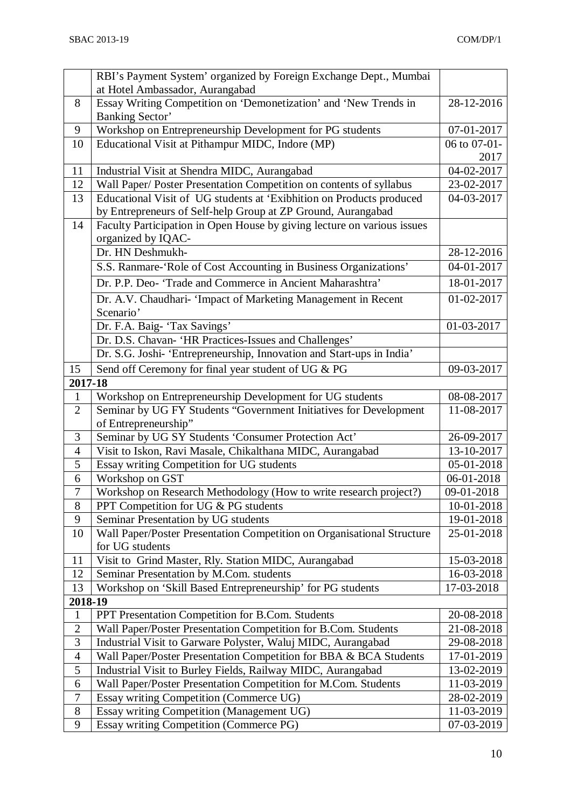|                          | RBI's Payment System' organized by Foreign Exchange Dept., Mumbai       |              |
|--------------------------|-------------------------------------------------------------------------|--------------|
|                          | at Hotel Ambassador, Aurangabad                                         |              |
| 8                        | Essay Writing Competition on 'Demonetization' and 'New Trends in        | 28-12-2016   |
|                          | <b>Banking Sector'</b>                                                  |              |
| 9                        | Workshop on Entrepreneurship Development for PG students                | 07-01-2017   |
| 10                       | Educational Visit at Pithampur MIDC, Indore (MP)                        | 06 to 07-01- |
|                          |                                                                         | 2017         |
| 11                       | Industrial Visit at Shendra MIDC, Aurangabad                            | 04-02-2017   |
| 12                       | Wall Paper/ Poster Presentation Competition on contents of syllabus     | 23-02-2017   |
| 13                       | Educational Visit of UG students at 'Exibhition on Products produced    | 04-03-2017   |
|                          | by Entrepreneurs of Self-help Group at ZP Ground, Aurangabad            |              |
| 14                       | Faculty Participation in Open House by giving lecture on various issues |              |
|                          | organized by IQAC-                                                      |              |
|                          | Dr. HN Deshmukh-                                                        | 28-12-2016   |
|                          | S.S. Ranmare-'Role of Cost Accounting in Business Organizations'        | 04-01-2017   |
|                          | Dr. P.P. Deo- 'Trade and Commerce in Ancient Maharashtra'               | 18-01-2017   |
|                          | Dr. A.V. Chaudhari- 'Impact of Marketing Management in Recent           | 01-02-2017   |
|                          | Scenario'                                                               |              |
|                          | Dr. F.A. Baig- 'Tax Savings'                                            | 01-03-2017   |
|                          | Dr. D.S. Chavan- 'HR Practices-Issues and Challenges'                   |              |
|                          | Dr. S.G. Joshi- 'Entrepreneurship, Innovation and Start-ups in India'   |              |
| 15                       | Send off Ceremony for final year student of UG & PG                     | 09-03-2017   |
| 2017-18                  |                                                                         |              |
| $\mathbf{1}$             | Workshop on Entrepreneurship Development for UG students                | 08-08-2017   |
| $\overline{2}$           | Seminar by UG FY Students "Government Initiatives for Development       | 11-08-2017   |
|                          | of Entrepreneurship"                                                    |              |
| 3                        | Seminar by UG SY Students 'Consumer Protection Act'                     | 26-09-2017   |
| $\overline{\mathcal{A}}$ | Visit to Iskon, Ravi Masale, Chikalthana MIDC, Aurangabad               | 13-10-2017   |
| 5                        | Essay writing Competition for UG students                               | 05-01-2018   |
| 6                        | Workshop on GST                                                         | 06-01-2018   |
| $\overline{7}$           | Workshop on Research Methodology (How to write research project?)       | 09-01-2018   |
| $8\,$                    | PPT Competition for UG & PG students                                    | 10-01-2018   |
| 9                        | Seminar Presentation by UG students                                     | 19-01-2018   |
| 10                       | Wall Paper/Poster Presentation Competition on Organisational Structure  | 25-01-2018   |
|                          | for UG students                                                         |              |
| 11                       | Visit to Grind Master, Rly. Station MIDC, Aurangabad                    | 15-03-2018   |
| 12                       | Seminar Presentation by M.Com. students                                 | 16-03-2018   |
| 13                       | Workshop on 'Skill Based Entrepreneurship' for PG students              | 17-03-2018   |
| 2018-19                  |                                                                         |              |
| $\mathbf{1}$             | PPT Presentation Competition for B.Com. Students                        | 20-08-2018   |
| $\sqrt{2}$               | Wall Paper/Poster Presentation Competition for B.Com. Students          | 21-08-2018   |
| 3                        | Industrial Visit to Garware Polyster, Waluj MIDC, Aurangabad            | 29-08-2018   |
| $\overline{4}$           | Wall Paper/Poster Presentation Competition for BBA & BCA Students       | 17-01-2019   |
| 5                        | Industrial Visit to Burley Fields, Railway MIDC, Aurangabad             | 13-02-2019   |
| 6                        | Wall Paper/Poster Presentation Competition for M.Com. Students          | 11-03-2019   |
| $\boldsymbol{7}$         | Essay writing Competition (Commerce UG)                                 | 28-02-2019   |
| $8\,$                    | Essay writing Competition (Management UG)                               | 11-03-2019   |
| 9                        | Essay writing Competition (Commerce PG)                                 | 07-03-2019   |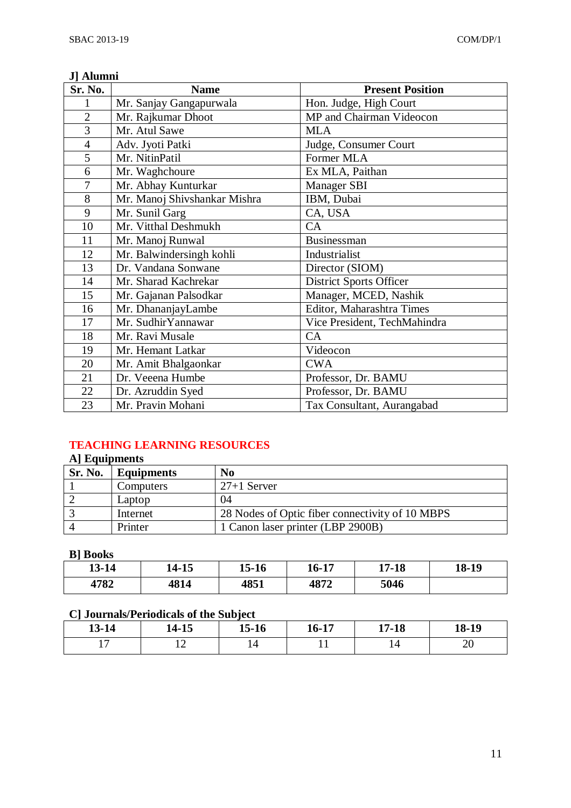### **J] Alumni**

| Sr. No.        | <b>Name</b>                  | <b>Present Position</b>        |
|----------------|------------------------------|--------------------------------|
| 1              | Mr. Sanjay Gangapurwala      | Hon. Judge, High Court         |
| $\overline{2}$ | Mr. Rajkumar Dhoot           | MP and Chairman Videocon       |
| 3              | Mr. Atul Sawe                | <b>MLA</b>                     |
| $\overline{4}$ | Adv. Jyoti Patki             | Judge, Consumer Court          |
| 5              | Mr. NitinPatil               | Former MLA                     |
| 6              | Mr. Waghchoure               | Ex MLA, Paithan                |
| 7              | Mr. Abhay Kunturkar          | <b>Manager SBI</b>             |
| 8              | Mr. Manoj Shivshankar Mishra | IBM, Dubai                     |
| 9              | Mr. Sunil Garg               | CA, USA                        |
| 10             | Mr. Vitthal Deshmukh         | CA                             |
| 11             | Mr. Manoj Runwal             | Businessman                    |
| 12             | Mr. Balwindersingh kohli     | Industrialist                  |
| 13             | Dr. Vandana Sonwane          | Director (SIOM)                |
| 14             | Mr. Sharad Kachrekar         | <b>District Sports Officer</b> |
| 15             | Mr. Gajanan Palsodkar        | Manager, MCED, Nashik          |
| 16             | Mr. DhananjayLambe           | Editor, Maharashtra Times      |
| 17             | Mr. SudhirYannawar           | Vice President, TechMahindra   |
| 18             | Mr. Ravi Musale              | CA                             |
| 19             | Mr. Hemant Latkar            | Videocon                       |
| 20             | Mr. Amit Bhalgaonkar         | <b>CWA</b>                     |
| 21             | Dr. Veeena Humbe             | Professor, Dr. BAMU            |
| 22             | Dr. Azruddin Syed            | Professor, Dr. BAMU            |
| 23             | Mr. Pravin Mohani            | Tax Consultant, Aurangabad     |

# **TEACHING LEARNING RESOURCES**

# **A] Equipments**

| Sr. No. | <b>Equipments</b> | No                                              |
|---------|-------------------|-------------------------------------------------|
|         | Computers         | $27+1$ Server                                   |
|         | Laptop            | 04                                              |
|         | Internet          | 28 Nodes of Optic fiber connectivity of 10 MBPS |
|         | Printer           | 1 Canon laser printer (LBP 2900B)               |

### **B] Books**

| 13-14 | 14-15 | 15-16 | $\epsilon$ 17<br>10-T) | $17 - 18$ | 18-19 |
|-------|-------|-------|------------------------|-----------|-------|
| 4782  | 4814  | 4851  | 4872                   | 5046      |       |

## **C] Journals/Periodicals of the Subject**

| 13-14 | $14 - 15$ | $\rightarrow$ $\rightarrow$ $\rightarrow$ $\rightarrow$<br>12-10 | 16-17 | $7 - 18$ | 18-19 |
|-------|-----------|------------------------------------------------------------------|-------|----------|-------|
|       |           | 14                                                               |       |          | ∠∪    |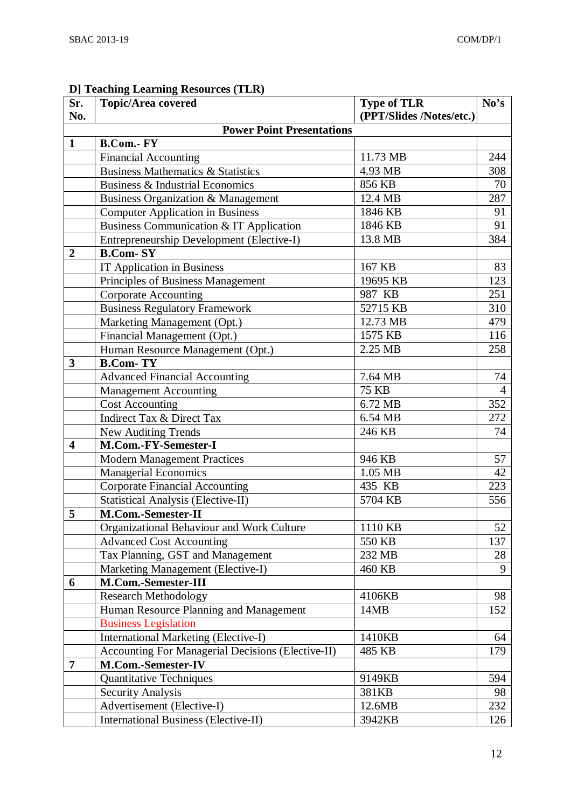#### **Sr. No. Topic/Area covered Type of TLR (PPT/Slides /Notes/etc.) No's Power Point Presentations 1 B.Com.- FY** Financial Accounting 244 Business Mathematics & Statistics 4.93 MB 308 Business & Industrial Economics<br>
Business Organization & Management 12.4 MB 287 Business Organization & Management 12.4 MB Computer Application in Business 1846 KB 91 Business Communication & IT Application 1846 KB 91 Entrepreneurship Development (Elective-I) 13.8 MB 384 **2 B.Com- SY** IT Application in Business<br>
Principles of Business Management<br>
19695 KB 1973 Principles of Business Management 19695 KB Corporate Accounting 987 KB 251 Business Regulatory Framework 52715 KB 310 Marketing Management (Opt.) 12.73 MB 479 Financial Management (Opt.) 1575 KB 116 Human Resource Management (Opt.) 2.25 MB 258 **3 B.Com- TY** Advanced Financial Accounting 7.64 MB 74 Management Accounting 25 KB 24 Cost Accounting 6.72 MB 352 Indirect Tax & Direct Tax 6.54 MB 272 New Auditing Trends 246 KB 74 **4 M.Com.-FY-Semester-I** Modern Management Practices 946 KB 57 Managerial Economics 1.05 MB 42 Corporate Financial Accounting 223 Statistical Analysis (Elective-II) 5704 KB 556 **5 M.Com.-Semester-II** Organizational Behaviour and Work Culture 11110 KB 52 Advanced Cost Accounting  $\begin{array}{|c|c|c|c|c|c|c|c|c|} \hline & 550 \text{ KB} & & 137 \ \hline \end{array}$ Tax Planning, GST and Management 232 MB 28 Marketing Management (Elective-I)  $\left| \right|$  460 KB 9 **6 M.Com.-Semester-III** Research Methodology 28 Human Resource Planning and Management 14MB 152 Business Legislation International Marketing (Elective-I) 1410KB 64<br>Accounting For Managerial Decisions (Elective-II) 485 KB 179 Accounting For Managerial Decisions (Elective-II) 485 KB **7 M.Com.-Semester-IV** Quantitative Techniques 9149KB 594 Security Analysis 381KB 98 Advertisement (Elective-I) 12.6MB 232 International Business (Elective-II) 3942KB 126

#### **D] Teaching Learning Resources (TLR)**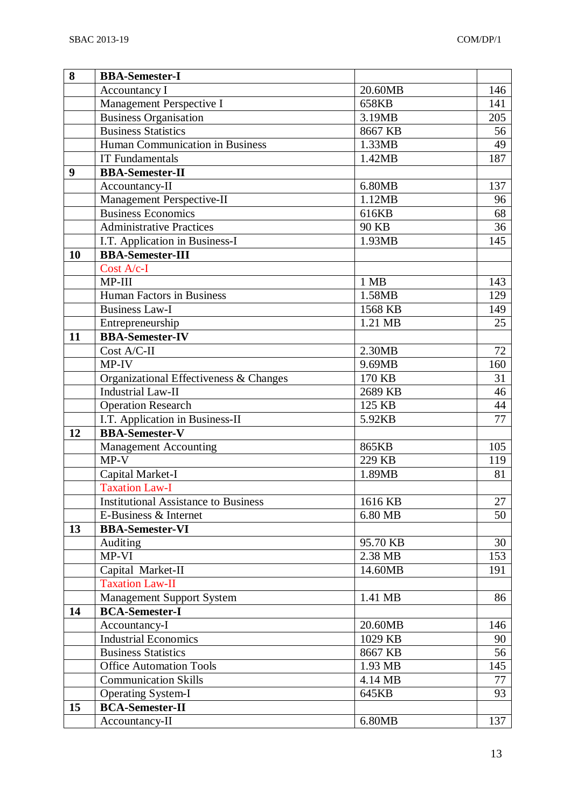| 8  | <b>BBA-Semester-I</b>                       |          |     |
|----|---------------------------------------------|----------|-----|
|    | Accountancy I                               | 20.60MB  | 146 |
|    | Management Perspective I                    | 658KB    | 141 |
|    | <b>Business Organisation</b>                | 3.19MB   | 205 |
|    | <b>Business Statistics</b>                  | 8667 KB  | 56  |
|    | Human Communication in Business             | 1.33MB   | 49  |
|    | <b>IT Fundamentals</b>                      | 1.42MB   | 187 |
| 9  | <b>BBA-Semester-II</b>                      |          |     |
|    | Accountancy-II                              | 6.80MB   | 137 |
|    | Management Perspective-II                   | 1.12MB   | 96  |
|    | <b>Business Economics</b>                   | 616KB    | 68  |
|    | <b>Administrative Practices</b>             | 90 KB    | 36  |
|    | I.T. Application in Business-I              | 1.93MB   | 145 |
| 10 | <b>BBA-Semester-III</b>                     |          |     |
|    | Cost A/c-I                                  |          |     |
|    | MP-III                                      | 1 MB     | 143 |
|    | Human Factors in Business                   | 1.58MB   | 129 |
|    | Business Law-I                              | 1568 KB  | 149 |
|    | Entrepreneurship                            | 1.21 MB  | 25  |
| 11 | <b>BBA-Semester-IV</b>                      |          |     |
|    | Cost A/C-II                                 | 2.30MB   | 72  |
|    | $MP-IV$                                     | 9.69MB   | 160 |
|    | Organizational Effectiveness & Changes      | 170 KB   | 31  |
|    | <b>Industrial Law-II</b>                    | 2689 KB  | 46  |
|    | <b>Operation Research</b>                   | 125 KB   | 44  |
|    | I.T. Application in Business-II             | 5.92KB   | 77  |
| 12 | <b>BBA-Semester-V</b>                       |          |     |
|    | <b>Management Accounting</b>                | 865KB    | 105 |
|    | $MP-V$                                      | 229 KB   | 119 |
|    | Capital Market-I                            | 1.89MB   | 81  |
|    | <b>Taxation Law-I</b>                       |          |     |
|    | <b>Institutional Assistance to Business</b> | 1616 KB  | 27  |
|    | E-Business & Internet                       | 6.80 MB  | 50  |
| 13 | <b>BBA-Semester-VI</b>                      |          |     |
|    | Auditing                                    | 95.70 KB | 30  |
|    | MP-VI                                       | 2.38 MB  | 153 |
|    | Capital Market-II                           | 14.60MB  | 191 |
|    | <b>Taxation Law-II</b>                      |          |     |
|    | <b>Management Support System</b>            | 1.41 MB  | 86  |
| 14 | <b>BCA-Semester-I</b>                       |          |     |
|    | Accountancy-I                               | 20.60MB  | 146 |
|    | <b>Industrial Economics</b>                 | 1029 KB  | 90  |
|    | <b>Business Statistics</b>                  | 8667 KB  | 56  |
|    | <b>Office Automation Tools</b>              | 1.93 MB  | 145 |
|    | <b>Communication Skills</b>                 | 4.14 MB  | 77  |
|    | <b>Operating System-I</b>                   | 645KB    | 93  |
| 15 | <b>BCA-Semester-II</b>                      |          |     |
|    | Accountancy-II                              | 6.80MB   | 137 |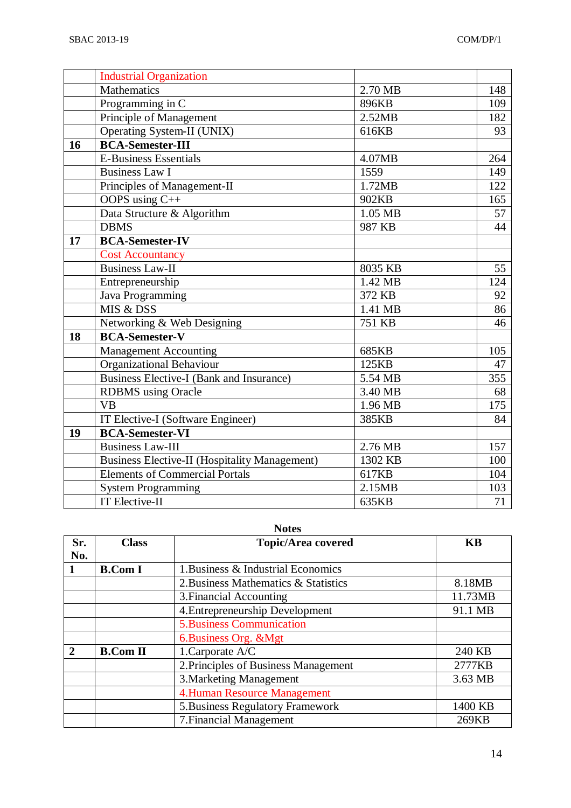|    | <b>Industrial Organization</b>                |         |     |
|----|-----------------------------------------------|---------|-----|
|    | Mathematics                                   | 2.70 MB | 148 |
|    | Programming in $\overline{C}$                 | 896KB   | 109 |
|    | Principle of Management                       | 2.52MB  | 182 |
|    | Operating System-II (UNIX)                    | 616KB   | 93  |
| 16 | <b>BCA-Semester-III</b>                       |         |     |
|    | <b>E-Business Essentials</b>                  | 4.07MB  | 264 |
|    | <b>Business Law I</b>                         | 1559    | 149 |
|    | Principles of Management-II                   | 1.72MB  | 122 |
|    | OOPS using $C++$                              | 902KB   | 165 |
|    | Data Structure & Algorithm                    | 1.05 MB | 57  |
|    | <b>DBMS</b>                                   | 987 KB  | 44  |
| 17 | <b>BCA-Semester-IV</b>                        |         |     |
|    | <b>Cost Accountancy</b>                       |         |     |
|    | Business Law-II                               | 8035 KB | 55  |
|    | Entrepreneurship                              | 1.42 MB | 124 |
|    | Java Programming                              | 372 KB  | 92  |
|    | MIS & DSS                                     | 1.41 MB | 86  |
|    | Networking & Web Designing                    | 751 KB  | 46  |
| 18 | <b>BCA-Semester-V</b>                         |         |     |
|    | <b>Management Accounting</b>                  | 685KB   | 105 |
|    | <b>Organizational Behaviour</b>               | 125KB   | 47  |
|    | Business Elective-I (Bank and Insurance)      | 5.54 MB | 355 |
|    | <b>RDBMS</b> using Oracle                     | 3.40 MB | 68  |
|    | <b>VB</b>                                     | 1.96 MB | 175 |
|    | IT Elective-I (Software Engineer)             | 385KB   | 84  |
| 19 | <b>BCA-Semester-VI</b>                        |         |     |
|    | <b>Business Law-III</b>                       | 2.76 MB | 157 |
|    | Business Elective-II (Hospitality Management) | 1302 KB | 100 |
|    | <b>Elements of Commercial Portals</b>         | 617KB   | 104 |
|    | <b>System Programming</b>                     | 2.15MB  | 103 |
|    | IT Elective-II                                | 635KB   | 71  |

#### **Notes**

| Sr.           | <b>Class</b>    | <b>Topic/Area covered</b>            | <b>KB</b> |
|---------------|-----------------|--------------------------------------|-----------|
| No.           |                 |                                      |           |
|               | <b>B.Com I</b>  | 1. Business & Industrial Economics   |           |
|               |                 | 2. Business Mathematics & Statistics | 8.18MB    |
|               |                 | 3. Financial Accounting              | 11.73MB   |
|               |                 | 4. Entrepreneurship Development      | 91.1 MB   |
|               |                 | <b>5.Business Communication</b>      |           |
|               |                 | 6. Business Org. & Mgt               |           |
| $\mathcal{D}$ | <b>B.Com II</b> | 1.Carporate A/C                      | 240 KB    |
|               |                 | 2. Principles of Business Management | 2777KB    |
|               |                 | 3. Marketing Management              | 3.63 MB   |
|               |                 | <b>4.Human Resource Management</b>   |           |
|               |                 | 5. Business Regulatory Framework     | 1400 KB   |
|               |                 | 7. Financial Management              | 269KB     |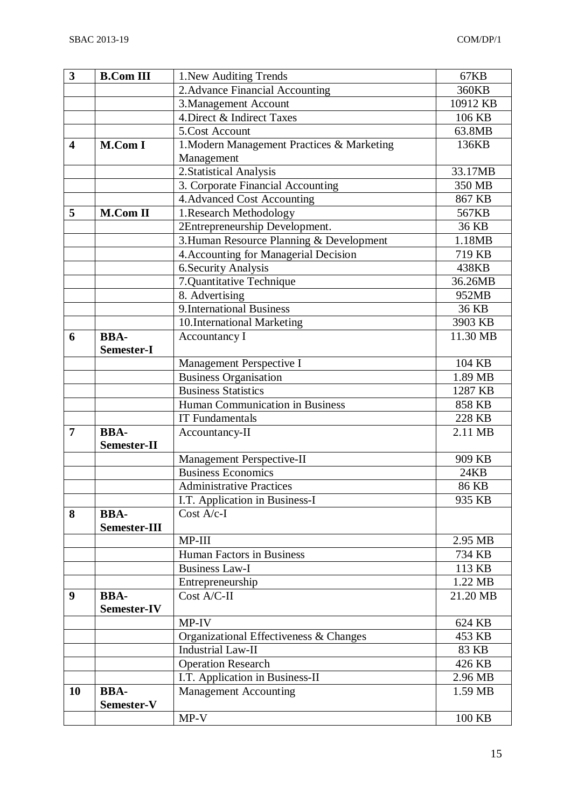| 3                       | <b>B.Com III</b>  | 1. New Auditing Trends                             | 67KB              |
|-------------------------|-------------------|----------------------------------------------------|-------------------|
|                         |                   | 2. Advance Financial Accounting                    | 360KB             |
|                         |                   | 3. Management Account                              | 10912 KB          |
|                         |                   | 4. Direct & Indirect Taxes                         | 106 KB            |
|                         |                   | 5.Cost Account                                     | 63.8MB            |
| $\overline{\mathbf{4}}$ | <b>M.Com I</b>    | 1. Modern Management Practices & Marketing         | 136KB             |
|                         |                   | Management                                         |                   |
|                         |                   | 2. Statistical Analysis                            | 33.17MB           |
|                         |                   | 3. Corporate Financial Accounting                  | 350 MB            |
|                         |                   | 4. Advanced Cost Accounting                        | 867 KB            |
| 5                       | <b>M.Com II</b>   | 1. Research Methodology                            | 567KB             |
|                         |                   | 2Entrepreneurship Development.                     | 36 KB             |
|                         |                   | 3. Human Resource Planning & Development           | 1.18MB            |
|                         |                   | 4. Accounting for Managerial Decision              | 719 KB            |
|                         |                   | 6. Security Analysis                               | 438KB             |
|                         |                   | 7.Quantitative Technique                           | 36.26MB           |
|                         |                   | 8. Advertising                                     | 952MB             |
|                         |                   | <b>9.International Business</b>                    | 36 KB             |
|                         |                   | 10.International Marketing                         | 3903 KB           |
| 6                       | <b>BBA-</b>       | <b>Accountancy I</b>                               | 11.30 MB          |
|                         | <b>Semester-I</b> |                                                    |                   |
|                         |                   | Management Perspective I                           | 104 KB            |
|                         |                   | <b>Business Organisation</b>                       | 1.89 MB           |
|                         |                   | <b>Business Statistics</b>                         | 1287 KB           |
|                         |                   | Human Communication in Business                    | 858 KB            |
|                         |                   | <b>IT Fundamentals</b>                             | 228 KB            |
| $\overline{7}$          | <b>BBA-</b>       | Accountancy-II                                     | 2.11 MB           |
|                         | Semester-II       |                                                    |                   |
|                         |                   | Management Perspective-II                          | 909 KB            |
|                         |                   | <b>Business Economics</b>                          | <b>24KB</b>       |
|                         |                   | Administrative Practices                           | 86 KB             |
|                         |                   | I.T. Application in Business-I                     | 935 KB            |
| 8                       | <b>BBA-</b>       | $Cost A/c-I$                                       |                   |
|                         | Semester-III      |                                                    |                   |
|                         |                   | MP-III                                             | 2.95 MB           |
|                         |                   | Human Factors in Business<br><b>Business Law-I</b> | 734 KB            |
|                         |                   |                                                    | 113 KB<br>1.22 MB |
| 9                       | <b>BBA-</b>       | Entrepreneurship<br>Cost A/C-II                    | 21.20 MB          |
|                         | Semester-IV       |                                                    |                   |
|                         |                   | MP-IV                                              | 624 KB            |
|                         |                   | Organizational Effectiveness & Changes             | 453 KB            |
|                         |                   | <b>Industrial Law-II</b>                           | 83 KB             |
|                         |                   | <b>Operation Research</b>                          | 426 KB            |
|                         |                   | I.T. Application in Business-II                    | 2.96 MB           |
| 10                      | <b>BBA-</b>       | <b>Management Accounting</b>                       | 1.59 MB           |
|                         | Semester-V        |                                                    |                   |
|                         |                   | $MP-V$                                             | 100 KB            |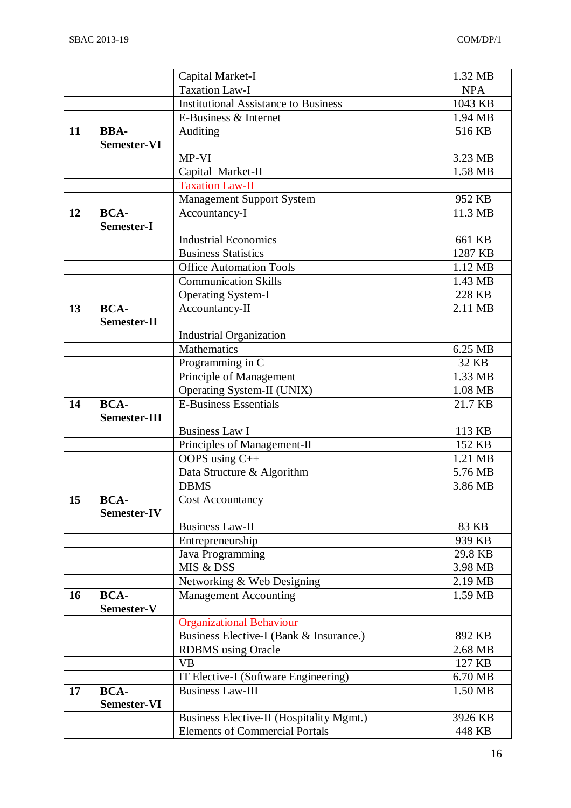|    |                            | Capital Market-I                            | 1.32 MB    |
|----|----------------------------|---------------------------------------------|------------|
|    |                            | <b>Taxation Law-I</b>                       | <b>NPA</b> |
|    |                            | <b>Institutional Assistance to Business</b> | 1043 KB    |
|    |                            | E-Business & Internet                       | 1.94 MB    |
| 11 | <b>BBA-</b>                | Auditing                                    | 516 KB     |
|    | <b>Semester-VI</b>         |                                             |            |
|    |                            | MP-VI                                       | 3.23 MB    |
|    |                            | Capital Market-II                           | 1.58 MB    |
|    |                            | <b>Taxation Law-II</b>                      |            |
|    |                            | <b>Management Support System</b>            | 952 KB     |
| 12 | <b>BCA-</b>                | Accountancy-I                               | 11.3 MB    |
|    | Semester-I                 |                                             |            |
|    |                            | <b>Industrial Economics</b>                 | 661 KB     |
|    |                            | <b>Business Statistics</b>                  | 1287 KB    |
|    |                            | <b>Office Automation Tools</b>              | 1.12 MB    |
|    |                            | <b>Communication Skills</b>                 | 1.43 MB    |
|    |                            | <b>Operating System-I</b>                   | 228 KB     |
| 13 | <b>BCA-</b>                | Accountancy-II                              | 2.11 MB    |
|    | Semester-II                |                                             |            |
|    |                            | <b>Industrial Organization</b>              |            |
|    |                            | Mathematics                                 | 6.25 MB    |
|    |                            | Programming in $\overline{C}$               | 32 KB      |
|    |                            | Principle of Management                     | 1.33 MB    |
|    |                            | Operating System-II (UNIX)                  | 1.08 MB    |
| 14 | <b>BCA-</b>                | <b>E-Business Essentials</b>                | 21.7 KB    |
|    | Semester-III               |                                             |            |
|    |                            | <b>Business Law I</b>                       | 113 KB     |
|    |                            | Principles of Management-II                 | 152 KB     |
|    |                            | OOPS using C++                              | 1.21 MB    |
|    |                            | Data Structure & Algorithm                  | 5.76 MB    |
|    |                            | <b>DBMS</b>                                 | 3.86 MB    |
| 15 | <b>BCA-</b><br>Semester-IV | <b>Cost Accountancy</b>                     |            |
|    |                            | <b>Business Law-II</b>                      | 83 KB      |
|    |                            | Entrepreneurship                            | 939 KB     |
|    |                            | Java Programming                            | 29.8 KB    |
|    |                            | MIS & DSS                                   | 3.98 MB    |
|    |                            | Networking & Web Designing                  | 2.19 MB    |
| 16 | <b>BCA-</b>                | <b>Management Accounting</b>                | 1.59 MB    |
|    | Semester-V                 |                                             |            |
|    |                            | <b>Organizational Behaviour</b>             |            |
|    |                            | Business Elective-I (Bank & Insurance.)     | 892 KB     |
|    |                            | <b>RDBMS</b> using Oracle                   | 2.68 MB    |
|    |                            | <b>VB</b>                                   | 127 KB     |
|    |                            | IT Elective-I (Software Engineering)        | 6.70 MB    |
| 17 | <b>BCA-</b>                | <b>Business Law-III</b>                     | 1.50 MB    |
|    | Semester-VI                |                                             |            |
|    |                            | Business Elective-II (Hospitality Mgmt.)    | 3926 KB    |
|    |                            | <b>Elements of Commercial Portals</b>       | 448 KB     |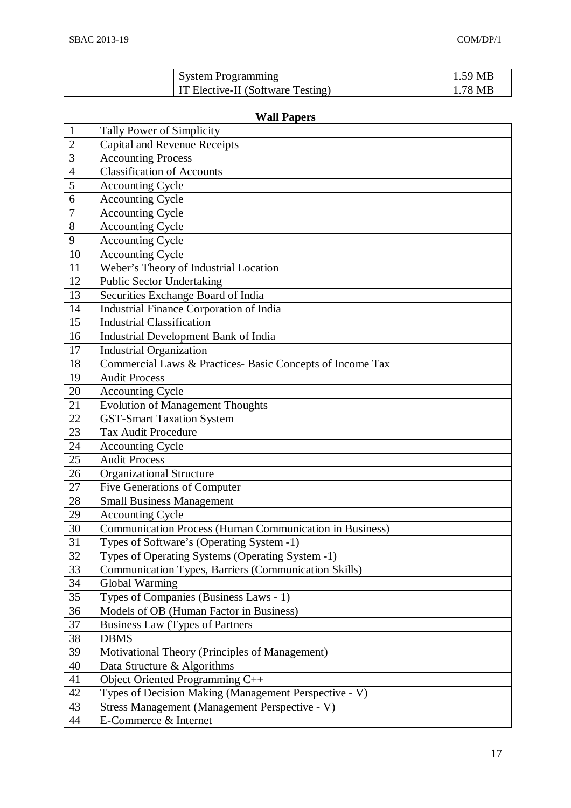|  | System Programming                | 59 ME  |
|--|-----------------------------------|--------|
|  | IT Elective-II (Software Testing) | .78 MF |

# **Wall Papers**

| $\mathbf{1}$   | Tally Power of Simplicity                                      |
|----------------|----------------------------------------------------------------|
| $\overline{2}$ | <b>Capital and Revenue Receipts</b>                            |
| 3              | <b>Accounting Process</b>                                      |
| $\overline{4}$ | <b>Classification of Accounts</b>                              |
| 5              | <b>Accounting Cycle</b>                                        |
| 6              | <b>Accounting Cycle</b>                                        |
| 7              | <b>Accounting Cycle</b>                                        |
| 8              | <b>Accounting Cycle</b>                                        |
| 9              | <b>Accounting Cycle</b>                                        |
| 10             | <b>Accounting Cycle</b>                                        |
| 11             | Weber's Theory of Industrial Location                          |
| 12             | <b>Public Sector Undertaking</b>                               |
| 13             | Securities Exchange Board of India                             |
| 14             | Industrial Finance Corporation of India                        |
| 15             | <b>Industrial Classification</b>                               |
| 16             | Industrial Development Bank of India                           |
| 17             | <b>Industrial Organization</b>                                 |
| 18             | Commercial Laws & Practices- Basic Concepts of Income Tax      |
| 19             | <b>Audit Process</b>                                           |
| 20             | <b>Accounting Cycle</b>                                        |
| 21             | <b>Evolution of Management Thoughts</b>                        |
| 22             | <b>GST-Smart Taxation System</b>                               |
| 23             | <b>Tax Audit Procedure</b>                                     |
| 24             | <b>Accounting Cycle</b>                                        |
| 25             | <b>Audit Process</b>                                           |
| 26             | <b>Organizational Structure</b>                                |
| 27             | Five Generations of Computer                                   |
| 28             | <b>Small Business Management</b>                               |
| 29             | <b>Accounting Cycle</b>                                        |
| 30             | <b>Communication Process (Human Communication in Business)</b> |
| 31             | Types of Software's (Operating System -1)                      |
| 32             | Types of Operating Systems (Operating System -1)               |
| 33             | Communication Types, Barriers (Communication Skills)           |
| 34             | Global Warming                                                 |
| 35             | Types of Companies (Business Laws - 1)                         |
| 36             | Models of OB (Human Factor in Business)                        |
| 37             | <b>Business Law (Types of Partners</b>                         |
| 38             | <b>DBMS</b>                                                    |
| 39             | Motivational Theory (Principles of Management)                 |
| 40             | Data Structure & Algorithms                                    |
| 41             | Object Oriented Programming C++                                |
| 42             | Types of Decision Making (Management Perspective - V)          |
| 43             | Stress Management (Management Perspective - V)                 |
| 44             | E-Commerce & Internet                                          |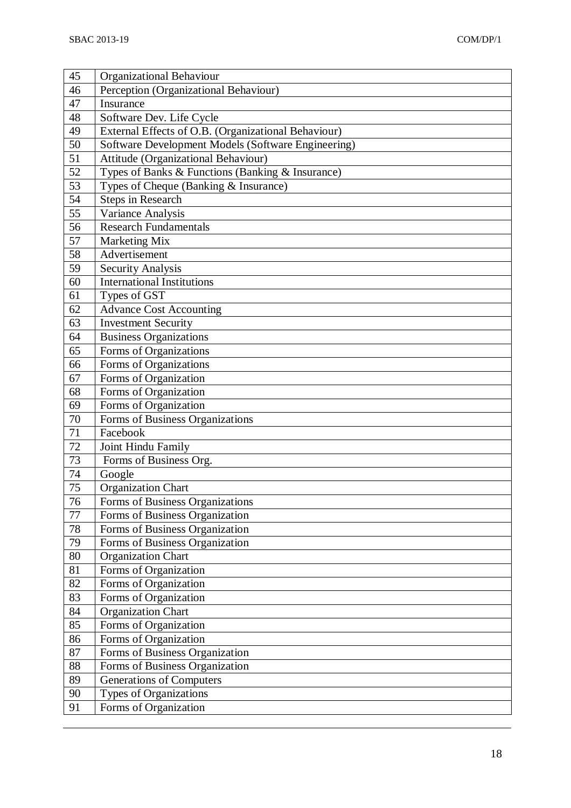| 45              | <b>Organizational Behaviour</b>                     |
|-----------------|-----------------------------------------------------|
| 46              | Perception (Organizational Behaviour)               |
| 47              | Insurance                                           |
| 48              | Software Dev. Life Cycle                            |
| 49              | External Effects of O.B. (Organizational Behaviour) |
| 50              | Software Development Models (Software Engineering)  |
| 51              | Attitude (Organizational Behaviour)                 |
| $\overline{52}$ | Types of Banks & Functions (Banking & Insurance)    |
| 53              | Types of Cheque (Banking & Insurance)               |
| 54              | <b>Steps in Research</b>                            |
| 55              | Variance Analysis                                   |
| 56              | <b>Research Fundamentals</b>                        |
| 57              | Marketing Mix                                       |
| 58              | Advertisement                                       |
| 59              | <b>Security Analysis</b>                            |
| 60              | <b>International Institutions</b>                   |
| 61              | Types of GST                                        |
| 62              | <b>Advance Cost Accounting</b>                      |
| 63              | <b>Investment Security</b>                          |
| 64              | <b>Business Organizations</b>                       |
| 65              | Forms of Organizations                              |
| 66              | Forms of Organizations                              |
| 67              | Forms of Organization                               |
| 68              | Forms of Organization                               |
| 69              | Forms of Organization                               |
| 70              | Forms of Business Organizations                     |
| 71              | Facebook                                            |
| 72              | Joint Hindu Family                                  |
| 73              | Forms of Business Org.                              |
| 74              | Google                                              |
| 75              | <b>Organization Chart</b>                           |
| 76              | Forms of Business Organizations                     |
| 77              | Forms of Business Organization                      |
| $78\,$          | Forms of Business Organization                      |
| 79              | Forms of Business Organization                      |
| 80              | <b>Organization Chart</b>                           |
| 81              | Forms of Organization                               |
| 82              | Forms of Organization                               |
| 83              | Forms of Organization                               |
| 84              | Organization Chart                                  |
| 85              | Forms of Organization                               |
| 86              | Forms of Organization                               |
| 87              | Forms of Business Organization                      |
| 88              | Forms of Business Organization                      |
| 89              | <b>Generations of Computers</b>                     |
| 90              | <b>Types of Organizations</b>                       |
| 91              | Forms of Organization                               |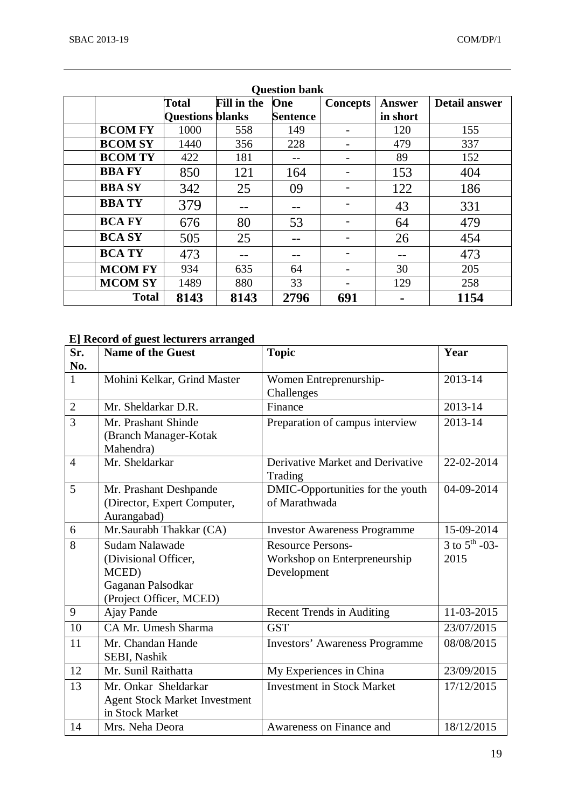| <b>Question bank</b> |                         |                    |                 |                 |          |                      |  |  |  |  |
|----------------------|-------------------------|--------------------|-----------------|-----------------|----------|----------------------|--|--|--|--|
|                      | <b>Total</b>            | <b>Fill in the</b> | One             | <b>Concepts</b> | Answer   | <b>Detail answer</b> |  |  |  |  |
|                      | <b>Questions blanks</b> |                    | <b>Sentence</b> |                 | in short |                      |  |  |  |  |
| <b>BCOM FY</b>       | 1000                    | 558                | 149             |                 | 120      | 155                  |  |  |  |  |
| <b>BCOM SY</b>       | 1440                    | 356                | 228             |                 | 479      | 337                  |  |  |  |  |
| <b>BCOM TY</b>       | 422                     | 181                |                 |                 | 89       | 152                  |  |  |  |  |
| <b>BBA FY</b>        | 850                     | 121                | 164             |                 | 153      | 404                  |  |  |  |  |
| <b>BBA SY</b>        | 342                     | 25                 | 09              |                 | 122      | 186                  |  |  |  |  |
| <b>BBATY</b>         | 379                     |                    |                 |                 | 43       | 331                  |  |  |  |  |
| <b>BCA FY</b>        | 676                     | 80                 | 53              |                 | 64       | 479                  |  |  |  |  |
| <b>BCA SY</b>        | 505                     | 25                 |                 |                 | 26       | 454                  |  |  |  |  |
| <b>BCA TY</b>        | 473                     | --                 |                 |                 | --       | 473                  |  |  |  |  |
| <b>MCOM FY</b>       | 934                     | 635                | 64              |                 | 30       | 205                  |  |  |  |  |
| <b>MCOM SY</b>       | 1489                    | 880                | 33              |                 | 129      | 258                  |  |  |  |  |
| <b>Total</b>         | 8143                    | 8143               | 2796            | 691             |          | 1154                 |  |  |  |  |

# **E] Record of guest lecturers arranged**

| Sr.            | <b>Name of the Guest</b>             | <b>Topic</b>                          | Year                        |
|----------------|--------------------------------------|---------------------------------------|-----------------------------|
| No.            |                                      |                                       |                             |
| $\mathbf{1}$   | Mohini Kelkar, Grind Master          | Women Entreprenurship-                | 2013-14                     |
|                |                                      | Challenges                            |                             |
| $\overline{2}$ | Mr. Sheldarkar D.R.                  | Finance                               | 2013-14                     |
| 3              | Mr. Prashant Shinde                  | Preparation of campus interview       | 2013-14                     |
|                | (Branch Manager-Kotak                |                                       |                             |
|                | Mahendra)                            |                                       |                             |
| $\overline{4}$ | Mr. Sheldarkar                       | Derivative Market and Derivative      | 22-02-2014                  |
|                |                                      | Trading                               |                             |
| 5              | Mr. Prashant Deshpande               | DMIC-Opportunities for the youth      | 04-09-2014                  |
|                | (Director, Expert Computer,          | of Marathwada                         |                             |
|                | Aurangabad)                          |                                       |                             |
| 6              | Mr.Saurabh Thakkar (CA)              | <b>Investor Awareness Programme</b>   | 15-09-2014                  |
| 8              | <b>Sudam Nalawade</b>                | <b>Resource Persons-</b>              | $3$ to $5^{\text{th}}$ -03- |
|                | (Divisional Officer,                 | Workshop on Enterpreneurship          | 2015                        |
|                | MCED)                                | Development                           |                             |
|                | Gaganan Palsodkar                    |                                       |                             |
|                | (Project Officer, MCED)              |                                       |                             |
| 9              | Ajay Pande                           | <b>Recent Trends in Auditing</b>      | 11-03-2015                  |
| 10             | CA Mr. Umesh Sharma                  | <b>GST</b>                            | 23/07/2015                  |
| 11             | Mr. Chandan Hande                    | <b>Investors' Awareness Programme</b> | 08/08/2015                  |
|                | SEBI, Nashik                         |                                       |                             |
| 12             | Mr. Sunil Raithatta                  | My Experiences in China               | 23/09/2015                  |
| 13             | Mr. Onkar Sheldarkar                 | <b>Investment in Stock Market</b>     | 17/12/2015                  |
|                | <b>Agent Stock Market Investment</b> |                                       |                             |
|                | in Stock Market                      |                                       |                             |
| 14             | Mrs. Neha Deora                      | Awareness on Finance and              | 18/12/2015                  |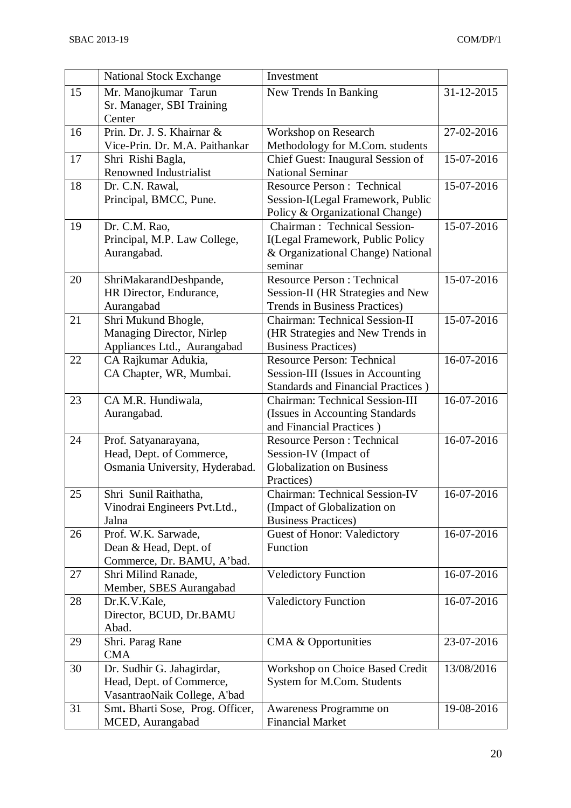|    | <b>National Stock Exchange</b>                           | Investment                                                             |            |
|----|----------------------------------------------------------|------------------------------------------------------------------------|------------|
| 15 | Mr. Manojkumar Tarun                                     | New Trends In Banking                                                  | 31-12-2015 |
|    | Sr. Manager, SBI Training                                |                                                                        |            |
|    | Center                                                   |                                                                        |            |
| 16 | Prin. Dr. J. S. Khairnar &                               | Workshop on Research                                                   | 27-02-2016 |
|    | Vice-Prin. Dr. M.A. Paithankar                           | Methodology for M.Com. students                                        |            |
| 17 | Shri Rishi Bagla,                                        | Chief Guest: Inaugural Session of                                      | 15-07-2016 |
|    | <b>Renowned Industrialist</b>                            | <b>National Seminar</b>                                                |            |
| 18 | Dr. C.N. Rawal,                                          | <b>Resource Person: Technical</b>                                      | 15-07-2016 |
|    | Principal, BMCC, Pune.                                   | Session-I(Legal Framework, Public                                      |            |
|    |                                                          | Policy & Organizational Change)                                        |            |
| 19 | Dr. C.M. Rao,                                            | Chairman: Technical Session-                                           | 15-07-2016 |
|    | Principal, M.P. Law College,                             | I(Legal Framework, Public Policy                                       |            |
|    | Aurangabad.                                              | & Organizational Change) National                                      |            |
|    |                                                          | seminar                                                                |            |
| 20 | ShriMakarandDeshpande,                                   | <b>Resource Person: Technical</b>                                      | 15-07-2016 |
|    | HR Director, Endurance,                                  | Session-II (HR Strategies and New                                      |            |
| 21 | Aurangabad                                               | Trends in Business Practices)<br><b>Chairman: Technical Session-II</b> | 15-07-2016 |
|    | Shri Mukund Bhogle,                                      | (HR Strategies and New Trends in                                       |            |
|    | Managing Director, Nirlep<br>Appliances Ltd., Aurangabad | <b>Business Practices</b> )                                            |            |
| 22 | CA Rajkumar Adukia,                                      | <b>Resource Person: Technical</b>                                      | 16-07-2016 |
|    | CA Chapter, WR, Mumbai.                                  | Session-III (Issues in Accounting                                      |            |
|    |                                                          | <b>Standards and Financial Practices</b> )                             |            |
| 23 | CA M.R. Hundiwala,                                       | <b>Chairman: Technical Session-III</b>                                 | 16-07-2016 |
|    | Aurangabad.                                              | (Issues in Accounting Standards)                                       |            |
|    |                                                          | and Financial Practices)                                               |            |
| 24 | Prof. Satyanarayana,                                     | <b>Resource Person: Technical</b>                                      | 16-07-2016 |
|    | Head, Dept. of Commerce,                                 | Session-IV (Impact of                                                  |            |
|    | Osmania University, Hyderabad.                           | <b>Globalization on Business</b>                                       |            |
|    |                                                          | Practices)                                                             |            |
| 25 | Shri Sunil Raithatha,                                    | <b>Chairman: Technical Session-IV</b>                                  | 16-07-2016 |
|    | Vinodrai Engineers Pvt.Ltd.,                             | (Impact of Globalization on                                            |            |
|    | Jalna                                                    | <b>Business Practices</b> )                                            |            |
| 26 | Prof. W.K. Sarwade,                                      | <b>Guest of Honor: Valedictory</b>                                     | 16-07-2016 |
|    | Dean & Head, Dept. of                                    | Function                                                               |            |
|    | Commerce, Dr. BAMU, A'bad.                               |                                                                        |            |
| 27 | Shri Milind Ranade,<br>Member, SBES Aurangabad           | <b>Veledictory Function</b>                                            | 16-07-2016 |
| 28 | Dr.K.V.Kale,                                             |                                                                        | 16-07-2016 |
|    | Director, BCUD, Dr.BAMU                                  | <b>Valedictory Function</b>                                            |            |
|    | Abad.                                                    |                                                                        |            |
| 29 | Shri. Parag Rane                                         | <b>CMA &amp; Opportunities</b>                                         | 23-07-2016 |
|    | <b>CMA</b>                                               |                                                                        |            |
| 30 | Dr. Sudhir G. Jahagirdar,                                | Workshop on Choice Based Credit                                        | 13/08/2016 |
|    | Head, Dept. of Commerce,                                 | System for M.Com. Students                                             |            |
|    | VasantraoNaik College, A'bad                             |                                                                        |            |
| 31 | Smt. Bharti Sose, Prog. Officer,                         | Awareness Programme on                                                 | 19-08-2016 |
|    | MCED, Aurangabad                                         | <b>Financial Market</b>                                                |            |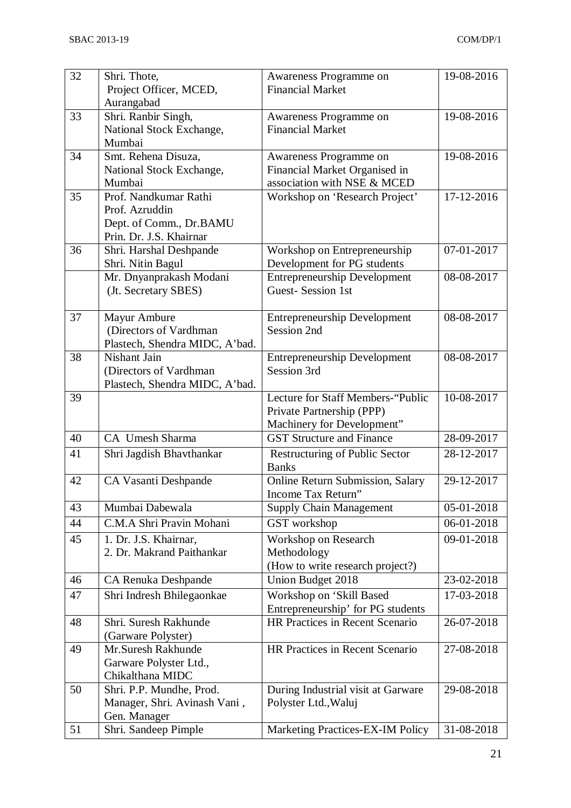| 32 | Shri. Thote,                                 | Awareness Programme on                                      | 19-08-2016 |
|----|----------------------------------------------|-------------------------------------------------------------|------------|
|    | Project Officer, MCED,                       | <b>Financial Market</b>                                     |            |
| 33 | Aurangabad<br>Shri. Ranbir Singh,            | Awareness Programme on                                      | 19-08-2016 |
|    | National Stock Exchange,                     | <b>Financial Market</b>                                     |            |
|    | Mumbai                                       |                                                             |            |
| 34 | Smt. Rehena Disuza,                          | Awareness Programme on                                      | 19-08-2016 |
|    | National Stock Exchange,                     | Financial Market Organised in                               |            |
|    | Mumbai                                       | association with NSE & MCED                                 |            |
| 35 | Prof. Nandkumar Rathi                        | Workshop on 'Research Project'                              | 17-12-2016 |
|    | Prof. Azruddin                               |                                                             |            |
|    | Dept. of Comm., Dr.BAMU                      |                                                             |            |
|    | Prin. Dr. J.S. Khairnar                      |                                                             |            |
| 36 | Shri. Harshal Deshpande<br>Shri. Nitin Bagul | Workshop on Entrepreneurship<br>Development for PG students | 07-01-2017 |
|    | Mr. Dnyanprakash Modani                      | <b>Entrepreneurship Development</b>                         | 08-08-2017 |
|    | (Jt. Secretary SBES)                         | <b>Guest-Session 1st</b>                                    |            |
|    |                                              |                                                             |            |
| 37 | Mayur Ambure                                 | <b>Entrepreneurship Development</b>                         | 08-08-2017 |
|    | (Directors of Vardhman                       | Session 2nd                                                 |            |
|    | Plastech, Shendra MIDC, A'bad.               |                                                             |            |
| 38 | Nishant Jain                                 | <b>Entrepreneurship Development</b>                         | 08-08-2017 |
|    | (Directors of Vardhman)                      | Session 3rd                                                 |            |
|    | Plastech, Shendra MIDC, A'bad.               |                                                             |            |
| 39 |                                              | Lecture for Staff Members-"Public                           | 10-08-2017 |
|    |                                              | Private Partnership (PPP)<br>Machinery for Development"     |            |
| 40 | CA Umesh Sharma                              | <b>GST Structure and Finance</b>                            | 28-09-2017 |
| 41 | Shri Jagdish Bhavthankar                     | Restructuring of Public Sector                              | 28-12-2017 |
|    |                                              | <b>Banks</b>                                                |            |
| 42 | CA Vasanti Deshpande                         | Online Return Submission, Salary                            | 29-12-2017 |
|    |                                              | Income Tax Return"                                          |            |
| 43 | Mumbai Dabewala                              | <b>Supply Chain Management</b>                              | 05-01-2018 |
| 44 | C.M.A Shri Pravin Mohani                     | GST workshop                                                | 06-01-2018 |
| 45 | 1. Dr. J.S. Khairnar,                        | Workshop on Research                                        | 09-01-2018 |
|    | 2. Dr. Makrand Paithankar                    | Methodology                                                 |            |
|    |                                              | (How to write research project?)                            |            |
| 46 | CA Renuka Deshpande                          | Union Budget 2018                                           | 23-02-2018 |
| 47 | Shri Indresh Bhilegaonkae                    | Workshop on 'Skill Based                                    | 17-03-2018 |
|    |                                              | Entrepreneurship' for PG students                           |            |
| 48 | Shri. Suresh Rakhunde                        | HR Practices in Recent Scenario                             | 26-07-2018 |
| 49 | (Garware Polyster)<br>Mr.Suresh Rakhunde     | HR Practices in Recent Scenario                             | 27-08-2018 |
|    | Garware Polyster Ltd.,                       |                                                             |            |
|    | Chikalthana MIDC                             |                                                             |            |
| 50 | Shri. P.P. Mundhe, Prod.                     | During Industrial visit at Garware                          | 29-08-2018 |
|    | Manager, Shri. Avinash Vani,                 | Polyster Ltd., Waluj                                        |            |
|    | Gen. Manager                                 |                                                             |            |
| 51 | Shri. Sandeep Pimple                         | Marketing Practices-EX-IM Policy                            | 31-08-2018 |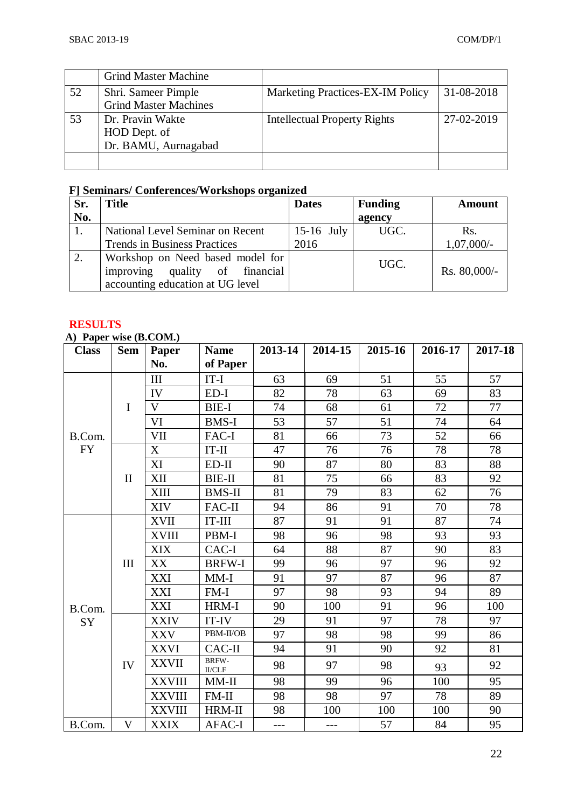|    | <b>Grind Master Machine</b>  |                                     |            |
|----|------------------------------|-------------------------------------|------------|
| 52 | Shri. Sameer Pimple          | Marketing Practices-EX-IM Policy    | 31-08-2018 |
|    | <b>Grind Master Machines</b> |                                     |            |
| 53 | Dr. Pravin Wakte             | <b>Intellectual Property Rights</b> | 27-02-2019 |
|    | HOD Dept. of                 |                                     |            |
|    | Dr. BAMU, Aurnagabad         |                                     |            |
|    |                              |                                     |            |

# **F] Seminars/ Conferences/Workshops organized**

| Sr. | Title                                                                                                  | <b>Dates</b> | <b>Funding</b> | <b>Amount</b>  |
|-----|--------------------------------------------------------------------------------------------------------|--------------|----------------|----------------|
| No. |                                                                                                        |              | agency         |                |
|     | National Level Seminar on Recent                                                                       | $15-16$ July | UGC.           | Rs.            |
|     | <b>Trends in Business Practices</b>                                                                    | 2016         |                | $1,07,000/-$   |
|     | Workshop on Need based model for<br>improving quality of financial<br>accounting education at UG level |              | UGC.           | Rs. $80,000/-$ |

### **RESULTS**

**A) Paper wise (B.COM.)**

| $\mathbf{u}$ ruper where $\mathbf{u}$ reduced $\mathbf{u}$<br><b>Class</b> | <b>Sem</b>   | Paper         | <b>Name</b>              | 2013-14 | 2014-15 | 2015-16 | 2016-17 | 2017-18 |
|----------------------------------------------------------------------------|--------------|---------------|--------------------------|---------|---------|---------|---------|---------|
|                                                                            |              | No.           | of Paper                 |         |         |         |         |         |
|                                                                            |              | III           | $IT-I$                   | 63      | 69      | 51      | 55      | 57      |
|                                                                            |              | IV            | $ED-I$                   | 82      | 78      | 63      | 69      | 83      |
|                                                                            | $\mathbf I$  | $\mathbf{V}$  | <b>BIE-I</b>             | 74      | 68      | 61      | 72      | 77      |
|                                                                            |              | VI            | <b>BMS-I</b>             | 53      | 57      | 51      | 74      | 64      |
| B.Com.                                                                     |              | <b>VII</b>    | FAC-I                    | 81      | 66      | 73      | 52      | 66      |
| <b>FY</b>                                                                  |              | X             | $IT-II$                  | 47      | 76      | 76      | 78      | 78      |
|                                                                            |              | XI            | $ED-II$                  | 90      | 87      | 80      | 83      | 88      |
|                                                                            | $\mathbf{I}$ | XII           | <b>BIE-II</b>            | 81      | 75      | 66      | 83      | 92      |
|                                                                            |              | XIII          | <b>BMS-II</b>            | 81      | 79      | 83      | 62      | 76      |
|                                                                            |              | <b>XIV</b>    | FAC-II                   | 94      | 86      | 91      | 70      | 78      |
|                                                                            |              | <b>XVII</b>   | $IT$ - $III$             | 87      | 91      | 91      | 87      | 74      |
|                                                                            |              | <b>XVIII</b>  | PBM-I                    | 98      | 96      | 98      | 93      | 93      |
|                                                                            | III          | <b>XIX</b>    | CAC-I                    | 64      | 88      | 87      | 90      | 83      |
|                                                                            |              | XX            | <b>BRFW-I</b>            | 99      | 96      | 97      | 96      | 92      |
|                                                                            |              | <b>XXI</b>    | $MM-I$                   | 91      | 97      | 87      | 96      | 87      |
|                                                                            |              | <b>XXI</b>    | $FM-I$                   | 97      | 98      | 93      | 94      | 89      |
| B.Com.                                                                     |              | <b>XXI</b>    | HRM-I                    | 90      | 100     | 91      | 96      | 100     |
| SY                                                                         |              | <b>XXIV</b>   | IT-IV                    | 29      | 91      | 97      | 78      | 97      |
|                                                                            |              | <b>XXV</b>    | PBM-II/OB                | 97      | 98      | 98      | 99      | 86      |
|                                                                            |              | <b>XXVI</b>   | CAC-II                   | 94      | 91      | 90      | 92      | 81      |
|                                                                            | IV           | <b>XXVII</b>  | BRFW-<br>$_{\rm II/CLF}$ | 98      | 97      | 98      | 93      | 92      |
|                                                                            |              | <b>XXVIII</b> | MM-II                    | 98      | 99      | 96      | 100     | 95      |
|                                                                            |              | <b>XXVIII</b> | $FM-II$                  | 98      | 98      | 97      | 78      | 89      |
|                                                                            |              | <b>XXVIII</b> | HRM-II                   | 98      | 100     | 100     | 100     | 90      |
| B.Com.                                                                     | V            | <b>XXIX</b>   | <b>AFAC-I</b>            | $---$   | $---$   | 57      | 84      | 95      |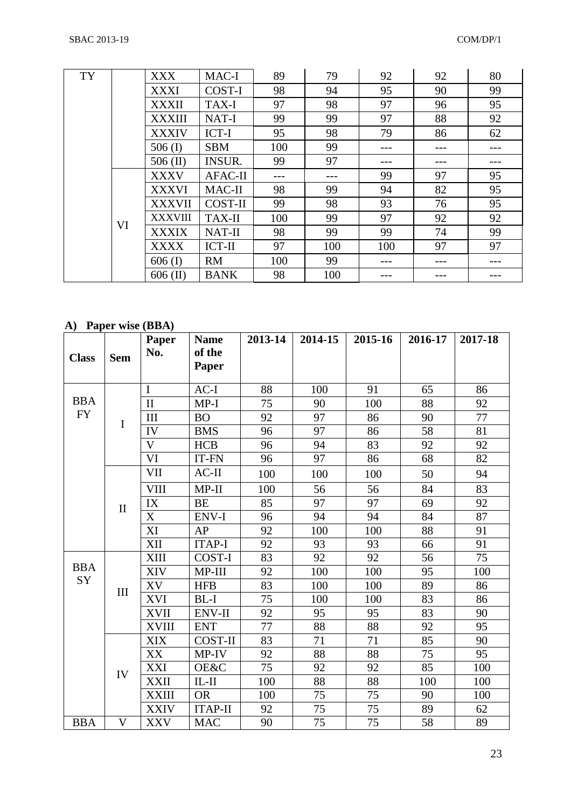| TY |    | <b>XXX</b>     | MAC-I          | 89  | 79  | 92  | 92  | 80  |
|----|----|----------------|----------------|-----|-----|-----|-----|-----|
|    |    | <b>XXXI</b>    | COST-I         | 98  | 94  | 95  | 90  | 99  |
|    |    | <b>XXXII</b>   | TAX-I          | 97  | 98  | 97  | 96  | 95  |
|    |    | <b>XXXIII</b>  | NAT-I          | 99  | 99  | 97  | 88  | 92  |
|    |    | <b>XXXIV</b>   | ICT-I          | 95  | 98  | 79  | 86  | 62  |
|    |    | 506 $(I)$      | <b>SBM</b>     | 100 | 99  | --- |     |     |
|    |    | $506$ (II)     | <b>INSUR.</b>  | 99  | 97  | --- | --- |     |
|    |    | <b>XXXV</b>    | <b>AFAC-II</b> | --- | --- | 99  | 97  | 95  |
|    |    | <b>XXXVI</b>   | MAC-II         | 98  | 99  | 94  | 82  | 95  |
|    |    | <b>XXXVII</b>  | <b>COST-II</b> | 99  | 98  | 93  | 76  | 95  |
|    | VI | <b>XXXVIII</b> | <b>TAX-II</b>  | 100 | 99  | 97  | 92  | 92  |
|    |    | <b>XXXIX</b>   | <b>NAT-II</b>  | 98  | 99  | 99  | 74  | 99  |
|    |    | <b>XXXX</b>    | ICT-II         | 97  | 100 | 100 | 97  | 97  |
|    |    | $606$ (I)      | <b>RM</b>      | 100 | 99  | --- | --- | --- |
|    |    | $606$ (II)     | <b>BANK</b>    | 98  | 100 |     |     |     |

# **A) Paper wise (BBA)**

| <b>Class</b> | <b>Sem</b>   | Paper<br>No.            | <b>Name</b><br>of the<br>Paper | 2013-14 | 2014-15 | 2015-16 | 2016-17 | 2017-18 |
|--------------|--------------|-------------------------|--------------------------------|---------|---------|---------|---------|---------|
|              |              | $\mathbf I$             | $AC-I$                         | 88      | 100     | 91      | 65      | 86      |
| <b>BBA</b>   |              | $\mathbf{I}$            | $MP-I$                         | 75      | 90      | 100     | 88      | 92      |
| <b>FY</b>    | $\bf I$      | III                     | <b>BO</b>                      | 92      | 97      | 86      | 90      | 77      |
|              |              | IV                      | <b>BMS</b>                     | 96      | 97      | 86      | 58      | 81      |
|              |              | $\overline{\mathsf{V}}$ | <b>HCB</b>                     | 96      | 94      | 83      | 92      | 92      |
|              |              | VI                      | IT-FN                          | 96      | 97      | 86      | 68      | 82      |
|              |              | <b>VII</b>              | $AC-II$                        | 100     | 100     | 100     | 50      | 94      |
|              |              | <b>VIII</b>             | $MP-II$                        | 100     | 56      | 56      | 84      | 83      |
|              | $\mathbf{I}$ | IX                      | <b>BE</b>                      | 85      | 97      | 97      | 69      | 92      |
|              |              | X                       | ENV-I                          | 96      | 94      | 94      | 84      | 87      |
|              |              | XI                      | AP                             | 92      | 100     | 100     | 88      | 91      |
|              |              | XII                     | <b>ITAP-I</b>                  | 92      | 93      | 93      | 66      | 91      |
|              |              | <b>XIII</b>             | COST-I                         | 83      | 92      | 92      | 56      | 75      |
| <b>BBA</b>   |              | <b>XIV</b>              | MP-III                         | 92      | 100     | 100     | 95      | 100     |
| SY           | III          | XV                      | <b>HFB</b>                     | 83      | 100     | 100     | 89      | 86      |
|              |              | <b>XVI</b>              | $BL-I$                         | 75      | 100     | 100     | 83      | 86      |
|              |              | <b>XVII</b>             | <b>ENV-II</b>                  | 92      | 95      | 95      | 83      | 90      |
|              |              | <b>XVIII</b>            | <b>ENT</b>                     | 77      | 88      | 88      | 92      | 95      |
|              |              | <b>XIX</b>              | <b>COST-II</b>                 | 83      | 71      | 71      | 85      | 90      |
|              |              | XX                      | MP-IV                          | 92      | 88      | 88      | 75      | 95      |
|              | IV           | XXI                     | OE&C                           | 75      | 92      | 92      | 85      | 100     |
|              |              | <b>XXII</b>             | $IL-II$                        | 100     | 88      | 88      | 100     | 100     |
|              |              | <b>XXIII</b>            | <b>OR</b>                      | 100     | 75      | 75      | 90      | 100     |
|              |              | <b>XXIV</b>             | <b>ITAP-II</b>                 | 92      | 75      | 75      | 89      | 62      |
| <b>BBA</b>   | $\mathbf{V}$ | <b>XXV</b>              | <b>MAC</b>                     | 90      | 75      | 75      | 58      | 89      |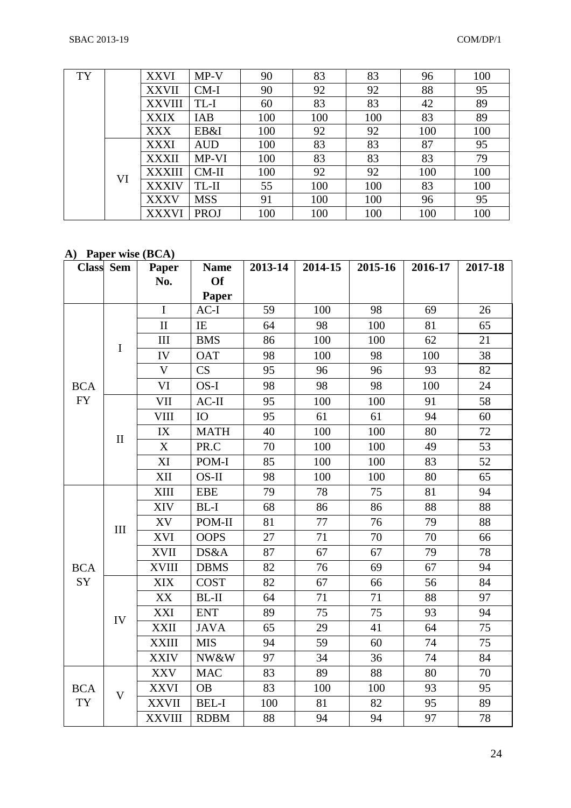| <b>TY</b> |    | <b>XXVI</b>   | $MP-V$      | 90  | 83  | 83  | 96  | 100 |
|-----------|----|---------------|-------------|-----|-----|-----|-----|-----|
|           |    | <b>XXVII</b>  | $CM-I$      | 90  | 92  | 92  | 88  | 95  |
|           |    | <b>XXVIII</b> | TL-I        | 60  | 83  | 83  | 42  | 89  |
|           |    | <b>XXIX</b>   | IAB         | 100 | 100 | 100 | 83  | 89  |
|           |    | <b>XXX</b>    | EB&I        | 100 | 92  | 92  | 100 | 100 |
|           |    | <b>XXXI</b>   | <b>AUD</b>  | 100 | 83  | 83  | 87  | 95  |
|           |    | <b>XXXII</b>  | MP-VI       | 100 | 83  | 83  | 83  | 79  |
|           | VI | <b>XXXIII</b> | $CM-II$     | 100 | 92  | 92  | 100 | 100 |
|           |    | <b>XXXIV</b>  | TL-II       | 55  | 100 | 100 | 83  | 100 |
|           |    | <b>XXXV</b>   | <b>MSS</b>  | 91  | 100 | 100 | 96  | 95  |
|           |    | <b>XXXVI</b>  | <b>PROJ</b> | 100 | 100 | 100 | 100 | 100 |

**A) Paper wise (BCA)**

|            | <b>Class</b> Sem | Paper                     | <b>Name</b>  | 2013-14 | 2014-15 | 2015-16 | 2016-17 | 2017-18 |
|------------|------------------|---------------------------|--------------|---------|---------|---------|---------|---------|
|            |                  | No.                       | <b>Of</b>    |         |         |         |         |         |
|            |                  |                           | Paper        |         |         |         |         |         |
|            |                  | $\mathbf I$               | $AC-I$       | 59      | 100     | 98      | 69      | 26      |
|            |                  | $\mathbf{I}$              | $\rm I\!E$   | 64      | 98      | 100     | 81      | 65      |
|            | $\mathbf I$      | III                       | <b>BMS</b>   | 86      | 100     | 100     | 62      | 21      |
|            |                  | IV                        | <b>OAT</b>   | 98      | 100     | 98      | 100     | 38      |
|            |                  | $\mathbf{V}$              | CS           | 95      | 96      | 96      | 93      | 82      |
| <b>BCA</b> |                  | VI                        | OS-I         | 98      | 98      | 98      | 100     | 24      |
| ${\rm FY}$ |                  | VII                       | $AC-II$      | 95      | 100     | 100     | 91      | 58      |
|            |                  | <b>VIII</b>               | IO           | 95      | 61      | 61      | 94      | 60      |
|            | $\mathbf{I}$     | IX                        | <b>MATH</b>  | 40      | 100     | 100     | 80      | 72      |
|            |                  | $\boldsymbol{\mathrm{X}}$ | PR.C         | 70      | 100     | 100     | 49      | 53      |
|            |                  | XI                        | POM-I        | 85      | 100     | 100     | 83      | 52      |
|            |                  | XII                       | OS-II        | 98      | 100     | 100     | 80      | 65      |
|            |                  | XIII                      | <b>EBE</b>   | 79      | 78      | 75      | 81      | 94      |
|            | III              | XIV                       | $BL-I$       | 68      | 86      | 86      | 88      | 88      |
|            |                  | XV                        | POM-II       | 81      | 77      | 76      | 79      | 88      |
|            |                  | XVI                       | <b>OOPS</b>  | 27      | 71      | 70      | 70      | 66      |
|            |                  | <b>XVII</b>               | DS&A         | 87      | 67      | 67      | 79      | 78      |
| <b>BCA</b> |                  | <b>XVIII</b>              | <b>DBMS</b>  | 82      | 76      | 69      | 67      | 94      |
| SY         |                  | <b>XIX</b>                | <b>COST</b>  | 82      | 67      | 66      | 56      | 84      |
|            |                  | XX                        | $BL-II$      | 64      | 71      | 71      | 88      | 97      |
|            | IV               | XXI                       | <b>ENT</b>   | 89      | 75      | 75      | 93      | 94      |
|            |                  | <b>XXII</b>               | <b>JAVA</b>  | 65      | 29      | 41      | 64      | 75      |
|            |                  | <b>XXIII</b>              | <b>MIS</b>   | 94      | 59      | 60      | 74      | 75      |
|            |                  | <b>XXIV</b>               | NW&W         | 97      | 34      | 36      | 74      | 84      |
|            |                  | <b>XXV</b>                | <b>MAC</b>   | 83      | 89      | 88      | 80      | 70      |
| <b>BCA</b> | $\mathbf V$      | <b>XXVI</b>               | <b>OB</b>    | 83      | 100     | 100     | 93      | 95      |
| <b>TY</b>  |                  | <b>XXVII</b>              | <b>BEL-I</b> | 100     | 81      | 82      | 95      | 89      |
|            |                  | <b>XXVIII</b>             | <b>RDBM</b>  | 88      | 94      | 94      | 97      | 78      |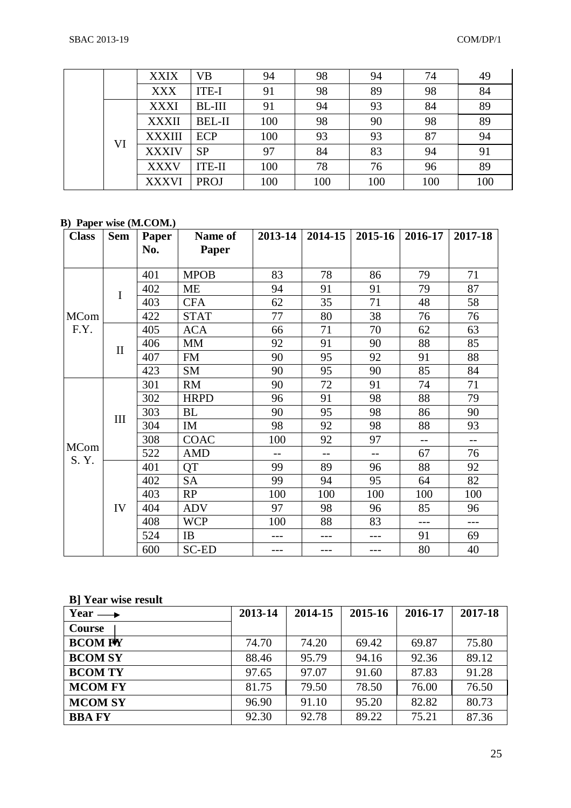|    | <b>XXIX</b>   | <b>VB</b>     | 94  | 98  | 94  | 74  | 49  |
|----|---------------|---------------|-----|-----|-----|-----|-----|
|    | <b>XXX</b>    | ITE-I         | 91  | 98  | 89  | 98  | 84  |
| VI | <b>XXXI</b>   | BL-III        | 91  | 94  | 93  | 84  | 89  |
|    | <b>XXXII</b>  | <b>BEL-II</b> | 100 | 98  | 90  | 98  | 89  |
|    | <b>XXXIII</b> | <b>ECP</b>    | 100 | 93  | 93  | 87  | 94  |
|    | <b>XXXIV</b>  | <b>SP</b>     | 97  | 84  | 83  | 94  | 91  |
|    | <b>XXXV</b>   | <b>ITE-II</b> | 100 | 78  | 76  | 96  | 89  |
|    | <b>XXXVI</b>  | <b>PROJ</b>   | 100 | 100 | 100 | 100 | 100 |

#### **B) Paper wise (M.COM.)**

| <b>Class</b> | <b>Sem</b>   | Paper | Name of      | 2013-14 | 2014-15 | $2015 - 16$ | 2016-17 | 2017-18 |
|--------------|--------------|-------|--------------|---------|---------|-------------|---------|---------|
|              |              | No.   | Paper        |         |         |             |         |         |
|              |              |       |              |         |         |             |         |         |
|              | I            | 401   | <b>MPOB</b>  | 83      | 78      | 86          | 79      | 71      |
|              |              | 402   | <b>ME</b>    | 94      | 91      | 91          | 79      | 87      |
|              |              | 403   | <b>CFA</b>   | 62      | 35      | 71          | 48      | 58      |
| <b>MCom</b>  |              | 422   | <b>STAT</b>  | 77      | 80      | 38          | 76      | 76      |
| F.Y.         | $\mathbf{I}$ | 405   | <b>ACA</b>   | 66      | 71      | 70          | 62      | 63      |
|              |              | 406   | <b>MM</b>    | 92      | 91      | 90          | 88      | 85      |
|              |              | 407   | <b>FM</b>    | 90      | 95      | 92          | 91      | 88      |
|              |              | 423   | <b>SM</b>    | 90      | 95      | 90          | 85      | 84      |
| MCom<br>S.Y. | III          | 301   | <b>RM</b>    | 90      | 72      | 91          | 74      | 71      |
|              |              | 302   | <b>HRPD</b>  | 96      | 91      | 98          | 88      | 79      |
|              |              | 303   | <b>BL</b>    | 90      | 95      | 98          | 86      | 90      |
|              |              | 304   | IM           | 98      | 92      | 98          | 88      | 93      |
|              |              | 308   | <b>COAC</b>  | 100     | 92      | 97          | $-$     | $-$     |
|              |              | 522   | <b>AMD</b>   | $-$     | $-$     | $-$         | 67      | 76      |
|              | IV           | 401   | QT           | 99      | 89      | 96          | 88      | 92      |
|              |              | 402   | <b>SA</b>    | 99      | 94      | 95          | 64      | 82      |
|              |              | 403   | RP           | 100     | 100     | 100         | 100     | 100     |
|              |              | 404   | <b>ADV</b>   | 97      | 98      | 96          | 85      | 96      |
|              |              | 408   | <b>WCP</b>   | 100     | 88      | 83          | $---$   | ---     |
|              |              | 524   | <b>IB</b>    |         | ---     | ---         | 91      | 69      |
|              |              | 600   | <b>SC-ED</b> | ---     | ---     | ---         | 80      | 40      |

#### **B] Year wise result**

| Year $\longrightarrow$ | 2013-14 | 2014-15 | 2015-16 | 2016-17 | 2017-18 |
|------------------------|---------|---------|---------|---------|---------|
| Course                 |         |         |         |         |         |
| <b>BCOM FV</b>         | 74.70   | 74.20   | 69.42   | 69.87   | 75.80   |
| <b>BCOM SY</b>         | 88.46   | 95.79   | 94.16   | 92.36   | 89.12   |
| <b>BCOM TY</b>         | 97.65   | 97.07   | 91.60   | 87.83   | 91.28   |
| <b>MCOM FY</b>         | 81.75   | 79.50   | 78.50   | 76.00   | 76.50   |
| <b>MCOM SY</b>         | 96.90   | 91.10   | 95.20   | 82.82   | 80.73   |
| <b>BBA FY</b>          | 92.30   | 92.78   | 89.22   | 75.21   | 87.36   |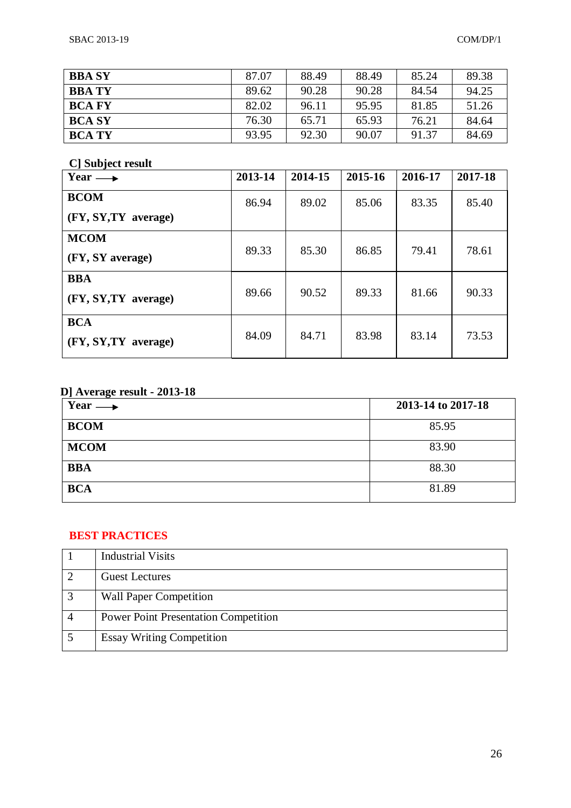| <b>BBA SY</b> | 87.07 | 88.49 | 88.49 | 85.24 | 89.38 |
|---------------|-------|-------|-------|-------|-------|
| <b>BBA TY</b> | 89.62 | 90.28 | 90.28 | 84.54 | 94.25 |
| <b>BCA FY</b> | 82.02 | 96.11 | 95.95 | 81.85 | 51.26 |
| <b>BCA SY</b> | 76.30 | 65.71 | 65.93 | 76.21 | 84.64 |
| <b>BCA TY</b> | 93.95 | 92.30 | 90.07 | 91.37 | 84.69 |

# **C] Subject result**

| Year $\longrightarrow$ | 2013-14 | 2014-15 | 2015-16 | 2016-17 | 2017-18 |
|------------------------|---------|---------|---------|---------|---------|
| <b>BCOM</b>            | 86.94   | 89.02   | 85.06   | 83.35   | 85.40   |
| (FY, SY, TY average)   |         |         |         |         |         |
| <b>MCOM</b>            | 89.33   | 85.30   | 86.85   | 79.41   | 78.61   |
| (FY, SY average)       |         |         |         |         |         |
| <b>BBA</b>             |         |         |         |         |         |
| (FY, SY, TY average)   | 89.66   | 90.52   | 89.33   | 81.66   | 90.33   |
| <b>BCA</b>             |         |         |         |         |         |
| (FY, SY, TY average)   | 84.09   | 84.71   | 83.98   | 83.14   | 73.53   |

# **D] Average result - 2013-18**

| Year $\longrightarrow$ | 2013-14 to 2017-18 |
|------------------------|--------------------|
| <b>BCOM</b>            | 85.95              |
| <b>MCOM</b>            | 83.90              |
| <b>BBA</b>             | 88.30              |
| <b>BCA</b>             | 81.89              |

# **BEST PRACTICES**

|   | <b>Industrial Visits</b>                    |
|---|---------------------------------------------|
|   | <b>Guest Lectures</b>                       |
| 3 | <b>Wall Paper Competition</b>               |
|   | <b>Power Point Presentation Competition</b> |
|   | <b>Essay Writing Competition</b>            |